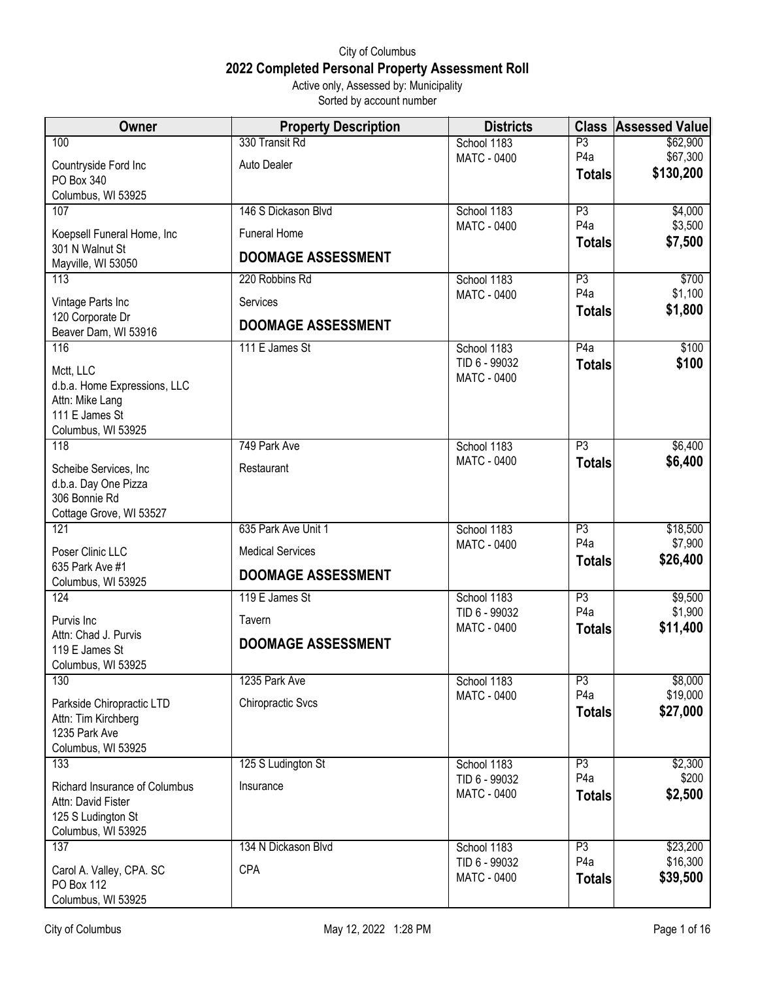## City of Columbus **2022 Completed Personal Property Assessment Roll** Active only, Assessed by: Municipality

Sorted by account number

| Owner                                         | <b>Property Description</b> | <b>Districts</b>             |                                   | <b>Class Assessed Value</b> |
|-----------------------------------------------|-----------------------------|------------------------------|-----------------------------------|-----------------------------|
| 100                                           | 330 Transit Rd              | School 1183                  | P <sub>3</sub>                    | \$62,900                    |
| Countryside Ford Inc                          | Auto Dealer                 | <b>MATC - 0400</b>           | P <sub>4</sub> a                  | \$67,300<br>\$130,200       |
| PO Box 340                                    |                             |                              | <b>Totals</b>                     |                             |
| Columbus, WI 53925<br>107                     | 146 S Dickason Blvd         | School 1183                  | P3                                | \$4,000                     |
|                                               |                             | <b>MATC - 0400</b>           | P <sub>4</sub> a                  | \$3,500                     |
| Koepsell Funeral Home, Inc<br>301 N Walnut St | <b>Funeral Home</b>         |                              | <b>Totals</b>                     | \$7,500                     |
| Mayville, WI 53050                            | <b>DOOMAGE ASSESSMENT</b>   |                              |                                   |                             |
| $\overline{113}$                              | 220 Robbins Rd              | School 1183                  | $\overline{P3}$                   | \$700                       |
| Vintage Parts Inc                             | Services                    | <b>MATC - 0400</b>           | P <sub>4</sub> a                  | \$1,100                     |
| 120 Corporate Dr                              | <b>DOOMAGE ASSESSMENT</b>   |                              | <b>Totals</b>                     | \$1,800                     |
| Beaver Dam, WI 53916<br>116                   | 111 E James St              | School 1183                  | P4a                               | \$100                       |
|                                               |                             | TID 6 - 99032                | <b>Totals</b>                     | \$100                       |
| Mctt, LLC<br>d.b.a. Home Expressions, LLC     |                             | <b>MATC - 0400</b>           |                                   |                             |
| Attn: Mike Lang                               |                             |                              |                                   |                             |
| 111 E James St                                |                             |                              |                                   |                             |
| Columbus, WI 53925<br>118                     | 749 Park Ave                | School 1183                  | P3                                | \$6,400                     |
|                                               |                             | <b>MATC - 0400</b>           | <b>Totals</b>                     | \$6,400                     |
| Scheibe Services, Inc.                        | Restaurant                  |                              |                                   |                             |
| d.b.a. Day One Pizza<br>306 Bonnie Rd         |                             |                              |                                   |                             |
| Cottage Grove, WI 53527                       |                             |                              |                                   |                             |
| 121                                           | 635 Park Ave Unit 1         | School 1183                  | P3                                | \$18,500                    |
| Poser Clinic LLC                              | <b>Medical Services</b>     | MATC - 0400                  | P <sub>4</sub> a<br><b>Totals</b> | \$7,900<br>\$26,400         |
| 635 Park Ave #1<br>Columbus, WI 53925         | <b>DOOMAGE ASSESSMENT</b>   |                              |                                   |                             |
| 124                                           | 119 E James St              | School 1183                  | P3                                | \$9,500                     |
| Purvis Inc                                    | Tavern                      | TID 6 - 99032                | P <sub>4</sub> a                  | \$1,900                     |
| Attn: Chad J. Purvis                          | <b>DOOMAGE ASSESSMENT</b>   | <b>MATC - 0400</b>           | <b>Totals</b>                     | \$11,400                    |
| 119 E James St<br>Columbus, WI 53925          |                             |                              |                                   |                             |
| 130                                           | 1235 Park Ave               | School 1183                  | P3                                | \$8,000                     |
| Parkside Chiropractic LTD                     | <b>Chiropractic Svcs</b>    | <b>MATC - 0400</b>           | P <sub>4</sub> a                  | \$19,000                    |
| Attn: Tim Kirchberg                           |                             |                              | <b>Totals</b>                     | \$27,000                    |
| 1235 Park Ave<br>Columbus, WI 53925           |                             |                              |                                   |                             |
| 133                                           | 125 S Ludington St          | School 1183                  | P3                                | \$2,300                     |
| Richard Insurance of Columbus                 | Insurance                   | TID 6 - 99032                | P <sub>4</sub> a                  | \$200                       |
| Attn: David Fister                            |                             | <b>MATC - 0400</b>           | <b>Totals</b>                     | \$2,500                     |
| 125 S Ludington St                            |                             |                              |                                   |                             |
| Columbus, WI 53925                            |                             |                              |                                   |                             |
| 137                                           | 134 N Dickason Blvd         | School 1183<br>TID 6 - 99032 | P3<br>P <sub>4</sub> a            | \$23,200<br>\$16,300        |
| Carol A. Valley, CPA. SC                      | <b>CPA</b>                  | <b>MATC - 0400</b>           | <b>Totals</b>                     | \$39,500                    |
| PO Box 112<br>Columbus, WI 53925              |                             |                              |                                   |                             |
|                                               |                             |                              |                                   |                             |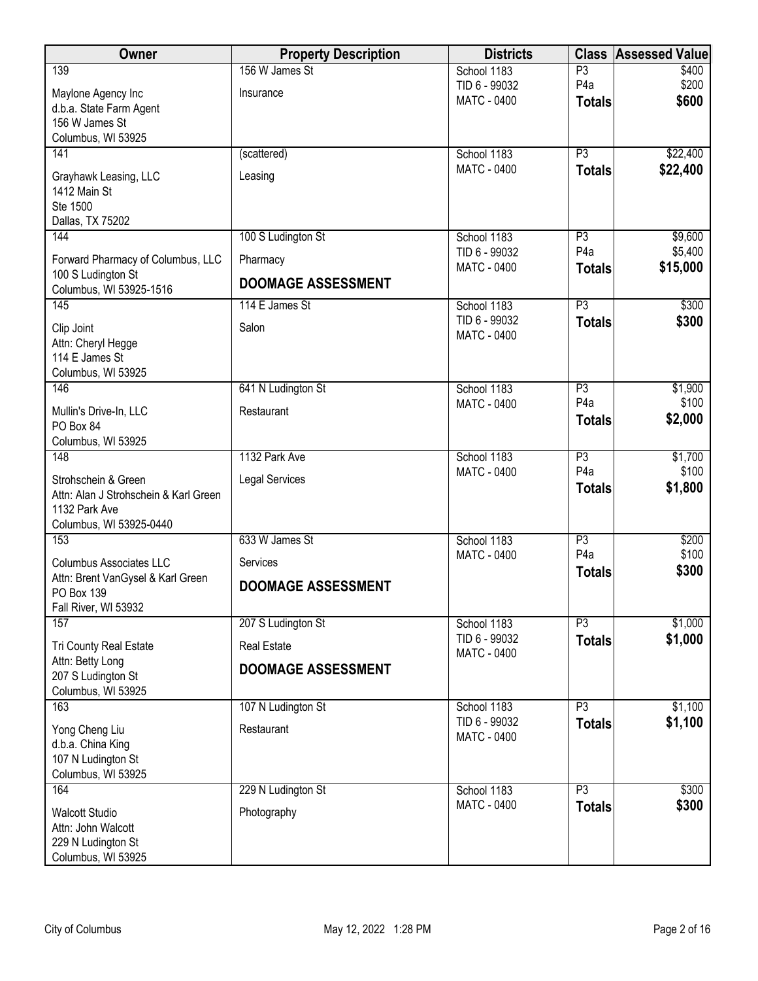| Owner                                         | <b>Property Description</b> | <b>Districts</b>             | <b>Class</b>                      | <b>Assessed Value</b> |
|-----------------------------------------------|-----------------------------|------------------------------|-----------------------------------|-----------------------|
| 139                                           | 156 W James St              | School 1183                  | P3                                | \$400                 |
| Maylone Agency Inc                            | Insurance                   | TID 6 - 99032<br>MATC - 0400 | P <sub>4</sub> a                  | \$200<br>\$600        |
| d.b.a. State Farm Agent                       |                             |                              | <b>Totals</b>                     |                       |
| 156 W James St                                |                             |                              |                                   |                       |
| Columbus, WI 53925<br>141                     | (scattered)                 | School 1183                  | $\overline{P3}$                   | \$22,400              |
|                                               |                             | MATC - 0400                  | <b>Totals</b>                     | \$22,400              |
| Grayhawk Leasing, LLC<br>1412 Main St         | Leasing                     |                              |                                   |                       |
| Ste 1500                                      |                             |                              |                                   |                       |
| Dallas, TX 75202                              |                             |                              |                                   |                       |
| 144                                           | 100 S Ludington St          | School 1183                  | P3                                | \$9,600               |
| Forward Pharmacy of Columbus, LLC             | Pharmacy                    | TID 6 - 99032<br>MATC - 0400 | P <sub>4</sub> a<br><b>Totals</b> | \$5,400<br>\$15,000   |
| 100 S Ludington St<br>Columbus, WI 53925-1516 | <b>DOOMAGE ASSESSMENT</b>   |                              |                                   |                       |
| 145                                           | 114 E James St              | School 1183                  | P3                                | \$300                 |
| Clip Joint                                    | Salon                       | TID 6 - 99032                | <b>Totals</b>                     | \$300                 |
| Attn: Cheryl Hegge                            |                             | MATC - 0400                  |                                   |                       |
| 114 E James St                                |                             |                              |                                   |                       |
| Columbus, WI 53925<br>146                     | 641 N Ludington St          | School 1183                  | P3                                | \$1,900               |
| Mullin's Drive-In, LLC                        | Restaurant                  | MATC - 0400                  | P <sub>4</sub> a                  | \$100                 |
| PO Box 84                                     |                             |                              | <b>Totals</b>                     | \$2,000               |
| Columbus, WI 53925                            |                             |                              |                                   |                       |
| 148                                           | 1132 Park Ave               | School 1183                  | P3<br>P <sub>4</sub> a            | \$1,700               |
| Strohschein & Green                           | <b>Legal Services</b>       | MATC - 0400                  | <b>Totals</b>                     | \$100<br>\$1,800      |
| Attn: Alan J Strohschein & Karl Green         |                             |                              |                                   |                       |
| 1132 Park Ave<br>Columbus, WI 53925-0440      |                             |                              |                                   |                       |
| 153                                           | 633 W James St              | School 1183                  | P3                                | \$200                 |
| <b>Columbus Associates LLC</b>                | Services                    | MATC - 0400                  | P <sub>4</sub> a                  | \$100                 |
| Attn: Brent VanGysel & Karl Green             |                             |                              | <b>Totals</b>                     | \$300                 |
| PO Box 139                                    | <b>DOOMAGE ASSESSMENT</b>   |                              |                                   |                       |
| Fall River, WI 53932                          |                             |                              |                                   |                       |
| 157                                           | 207 S Ludington St          | School 1183<br>TID 6 - 99032 | P3<br><b>Totals</b>               | \$1,000<br>\$1,000    |
| Tri County Real Estate                        | <b>Real Estate</b>          | MATC - 0400                  |                                   |                       |
| Attn: Betty Long<br>207 S Ludington St        | <b>DOOMAGE ASSESSMENT</b>   |                              |                                   |                       |
| Columbus, WI 53925                            |                             |                              |                                   |                       |
| 163                                           | 107 N Ludington St          | School 1183                  | P3                                | \$1,100               |
| Yong Cheng Liu                                | Restaurant                  | TID 6 - 99032                | <b>Totals</b>                     | \$1,100               |
| d.b.a. China King                             |                             | MATC - 0400                  |                                   |                       |
| 107 N Ludington St                            |                             |                              |                                   |                       |
| Columbus, WI 53925<br>164                     | 229 N Ludington St          | School 1183                  | P3                                | \$300                 |
|                                               |                             | MATC - 0400                  | <b>Totals</b>                     | \$300                 |
| <b>Walcott Studio</b><br>Attn: John Walcott   | Photography                 |                              |                                   |                       |
| 229 N Ludington St                            |                             |                              |                                   |                       |
| Columbus, WI 53925                            |                             |                              |                                   |                       |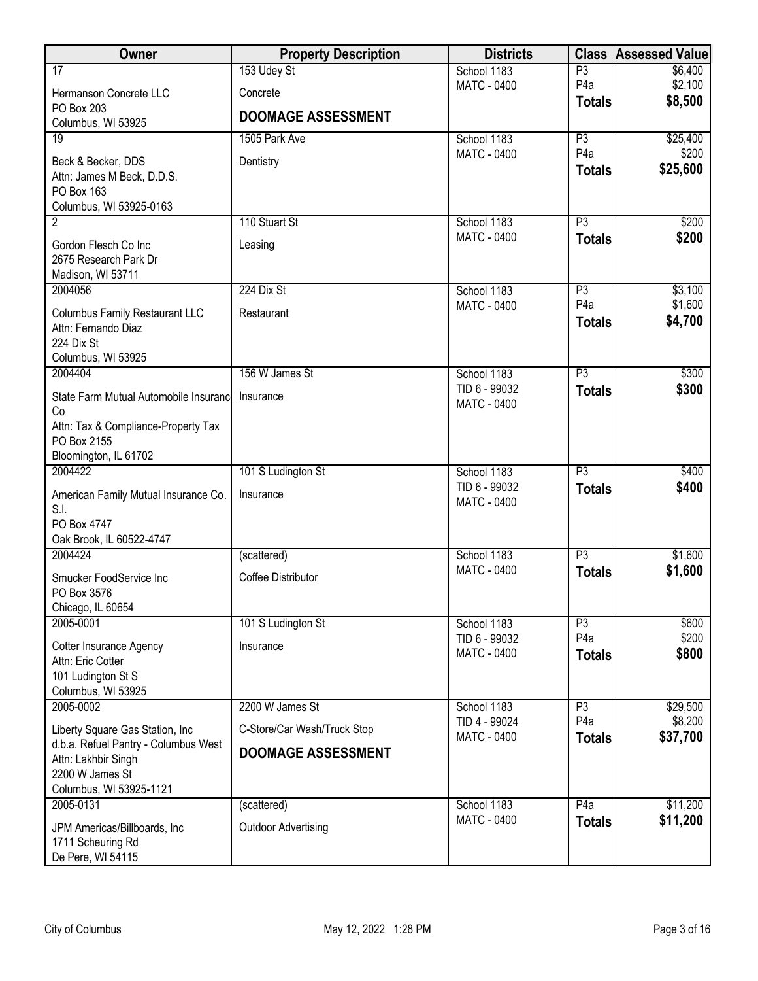| Owner                                         | <b>Property Description</b> | <b>Districts</b>                    | <b>Class</b>                      | <b>Assessed Value</b> |
|-----------------------------------------------|-----------------------------|-------------------------------------|-----------------------------------|-----------------------|
| $\overline{17}$                               | 153 Udey St                 | School 1183                         | $\overline{P3}$                   | \$6,400               |
| Hermanson Concrete LLC                        | Concrete                    | <b>MATC - 0400</b>                  | P <sub>4</sub> a<br><b>Totals</b> | \$2,100<br>\$8,500    |
| <b>PO Box 203</b><br>Columbus, WI 53925       | <b>DOOMAGE ASSESSMENT</b>   |                                     |                                   |                       |
| $\overline{19}$                               | 1505 Park Ave               | School 1183                         | P3                                | \$25,400              |
| Beck & Becker, DDS                            | Dentistry                   | <b>MATC - 0400</b>                  | P <sub>4</sub> a                  | \$200                 |
| Attn: James M Beck, D.D.S.                    |                             |                                     | <b>Totals</b>                     | \$25,600              |
| PO Box 163                                    |                             |                                     |                                   |                       |
| Columbus, WI 53925-0163<br>$\overline{2}$     | 110 Stuart St               | School 1183                         | P3                                | \$200                 |
|                                               |                             | <b>MATC - 0400</b>                  | <b>Totals</b>                     | \$200                 |
| Gordon Flesch Co Inc<br>2675 Research Park Dr | Leasing                     |                                     |                                   |                       |
| Madison, WI 53711                             |                             |                                     |                                   |                       |
| 2004056                                       | 224 Dix St                  | School 1183                         | P3                                | \$3,100               |
| <b>Columbus Family Restaurant LLC</b>         | Restaurant                  | <b>MATC - 0400</b>                  | P <sub>4</sub> a                  | \$1,600               |
| Attn: Fernando Diaz                           |                             |                                     | <b>Totals</b>                     | \$4,700               |
| 224 Dix St<br>Columbus, WI 53925              |                             |                                     |                                   |                       |
| 2004404                                       | 156 W James St              | School 1183                         | $\overline{P3}$                   | \$300                 |
| State Farm Mutual Automobile Insurance        | Insurance                   | TID 6 - 99032                       | <b>Totals</b>                     | \$300                 |
| Co                                            |                             | <b>MATC - 0400</b>                  |                                   |                       |
| Attn: Tax & Compliance-Property Tax           |                             |                                     |                                   |                       |
| PO Box 2155<br>Bloomington, IL 61702          |                             |                                     |                                   |                       |
| 2004422                                       | 101 S Ludington St          | School 1183                         | $\overline{P3}$                   | \$400                 |
| American Family Mutual Insurance Co.          | Insurance                   | TID 6 - 99032                       | <b>Totals</b>                     | \$400                 |
| S.I.                                          |                             | <b>MATC - 0400</b>                  |                                   |                       |
| PO Box 4747                                   |                             |                                     |                                   |                       |
| Oak Brook, IL 60522-4747<br>2004424           | (scattered)                 | School 1183                         | $\overline{P3}$                   | \$1,600               |
|                                               |                             | <b>MATC - 0400</b>                  | <b>Totals</b>                     | \$1,600               |
| Smucker FoodService Inc<br>PO Box 3576        | Coffee Distributor          |                                     |                                   |                       |
| Chicago, IL 60654                             |                             |                                     |                                   |                       |
| 2005-0001                                     | 101 S Ludington St          | School 1183                         | P3                                | \$600                 |
| Cotter Insurance Agency                       | Insurance                   | TID 6 - 99032<br><b>MATC - 0400</b> | P <sub>4</sub> a<br><b>Totals</b> | \$200<br>\$800        |
| Attn: Eric Cotter                             |                             |                                     |                                   |                       |
| 101 Ludington St S<br>Columbus, WI 53925      |                             |                                     |                                   |                       |
| 2005-0002                                     | 2200 W James St             | School 1183                         | P3                                | \$29,500              |
| Liberty Square Gas Station, Inc               | C-Store/Car Wash/Truck Stop | TID 4 - 99024                       | P <sub>4</sub> a                  | \$8,200               |
| d.b.a. Refuel Pantry - Columbus West          | <b>DOOMAGE ASSESSMENT</b>   | <b>MATC - 0400</b>                  | <b>Totals</b>                     | \$37,700              |
| Attn: Lakhbir Singh<br>2200 W James St        |                             |                                     |                                   |                       |
| Columbus, WI 53925-1121                       |                             |                                     |                                   |                       |
| 2005-0131                                     | (scattered)                 | School 1183                         | P4a                               | \$11,200              |
| JPM Americas/Billboards, Inc                  | <b>Outdoor Advertising</b>  | <b>MATC - 0400</b>                  | <b>Totals</b>                     | \$11,200              |
| 1711 Scheuring Rd                             |                             |                                     |                                   |                       |
| De Pere, WI 54115                             |                             |                                     |                                   |                       |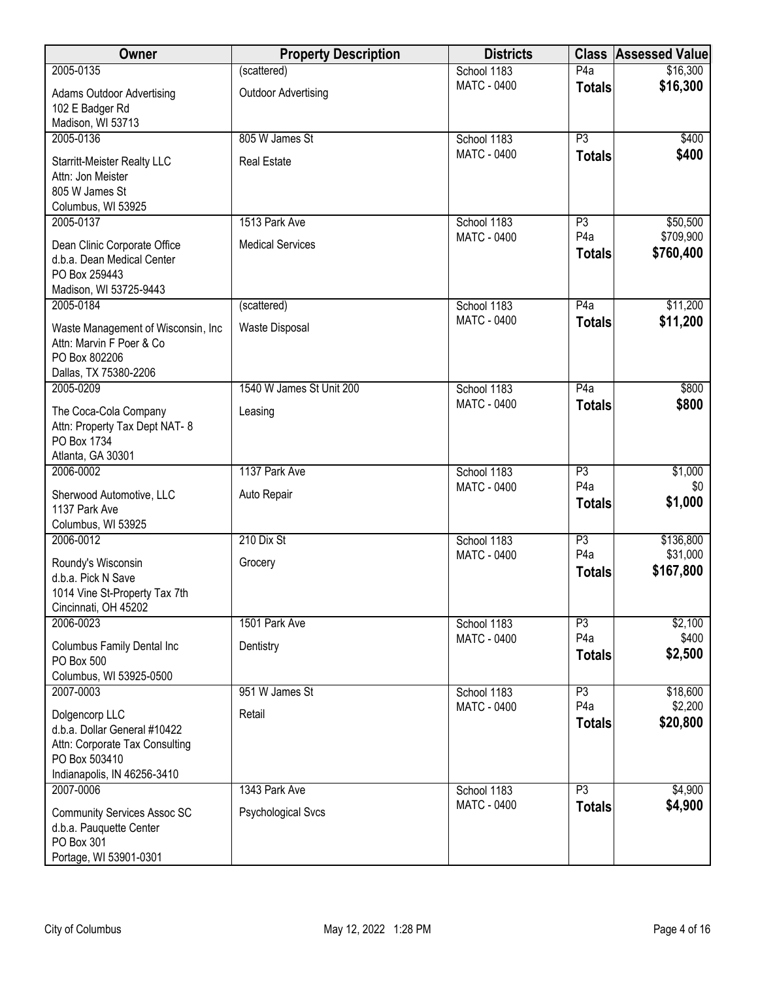| Owner                                                                                                                            | <b>Property Description</b> | <b>Districts</b>   |                                   | <b>Class Assessed Value</b> |
|----------------------------------------------------------------------------------------------------------------------------------|-----------------------------|--------------------|-----------------------------------|-----------------------------|
| 2005-0135                                                                                                                        | (scattered)                 | School 1183        | P4a                               | \$16,300                    |
| <b>Adams Outdoor Advertising</b><br>102 E Badger Rd<br>Madison, WI 53713                                                         | <b>Outdoor Advertising</b>  | <b>MATC - 0400</b> | <b>Totals</b>                     | \$16,300                    |
| 2005-0136                                                                                                                        | 805 W James St              | School 1183        | $\overline{P3}$                   | \$400                       |
| <b>Starritt-Meister Realty LLC</b><br>Attn: Jon Meister<br>805 W James St<br>Columbus, WI 53925                                  | <b>Real Estate</b>          | <b>MATC - 0400</b> | <b>Totals</b>                     | \$400                       |
| 2005-0137                                                                                                                        | 1513 Park Ave               | School 1183        | P3                                | \$50,500                    |
| Dean Clinic Corporate Office<br>d.b.a. Dean Medical Center<br>PO Box 259443<br>Madison, WI 53725-9443                            | <b>Medical Services</b>     | <b>MATC - 0400</b> | P <sub>4</sub> a<br><b>Totals</b> | \$709,900<br>\$760,400      |
| 2005-0184                                                                                                                        | (scattered)                 | School 1183        | P4a                               | \$11,200                    |
| Waste Management of Wisconsin, Inc<br>Attn: Marvin F Poer & Co<br>PO Box 802206<br>Dallas, TX 75380-2206                         | Waste Disposal              | <b>MATC - 0400</b> | <b>Totals</b>                     | \$11,200                    |
| 2005-0209                                                                                                                        | 1540 W James St Unit 200    | School 1183        | P4a                               | \$800                       |
| The Coca-Cola Company<br>Attn: Property Tax Dept NAT- 8<br>PO Box 1734<br>Atlanta, GA 30301                                      | Leasing                     | <b>MATC - 0400</b> | <b>Totals</b>                     | \$800                       |
| 2006-0002                                                                                                                        | 1137 Park Ave               | School 1183        | P3                                | \$1,000                     |
| Sherwood Automotive, LLC<br>1137 Park Ave<br>Columbus, WI 53925                                                                  | Auto Repair                 | <b>MATC - 0400</b> | P <sub>4</sub> a<br><b>Totals</b> | \$0<br>\$1,000              |
| 2006-0012                                                                                                                        | 210 Dix St                  | School 1183        | P3                                | \$136,800                   |
| Roundy's Wisconsin<br>d.b.a. Pick N Save<br>1014 Vine St-Property Tax 7th<br>Cincinnati, OH 45202                                | Grocery                     | <b>MATC - 0400</b> | P <sub>4</sub> a<br><b>Totals</b> | \$31,000<br>\$167,800       |
| 2006-0023                                                                                                                        | 1501 Park Ave               | School 1183        | P3                                | \$2,100                     |
| Columbus Family Dental Inc<br>PO Box 500<br>Columbus, WI 53925-0500                                                              | Dentistry                   | <b>MATC - 0400</b> | P <sub>4</sub> a<br><b>Totals</b> | \$400<br>\$2,500            |
| 2007-0003                                                                                                                        | 951 W James St              | School 1183        | P3                                | \$18,600                    |
| Dolgencorp LLC<br>d.b.a. Dollar General #10422<br>Attn: Corporate Tax Consulting<br>PO Box 503410<br>Indianapolis, IN 46256-3410 | Retail                      | <b>MATC - 0400</b> | P <sub>4</sub> a<br><b>Totals</b> | \$2,200<br>\$20,800         |
| 2007-0006                                                                                                                        | 1343 Park Ave               | School 1183        | P3                                | \$4,900                     |
| <b>Community Services Assoc SC</b><br>d.b.a. Pauquette Center<br>PO Box 301<br>Portage, WI 53901-0301                            | <b>Psychological Svcs</b>   | <b>MATC - 0400</b> | <b>Totals</b>                     | \$4,900                     |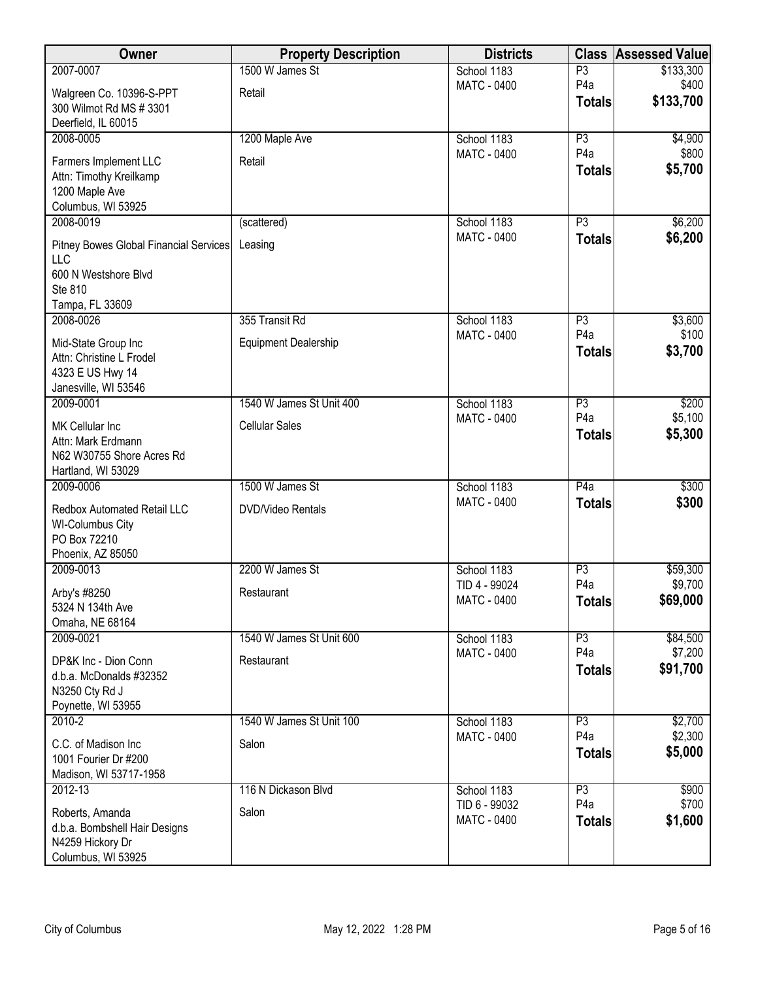| Owner                                             | <b>Property Description</b> | <b>Districts</b>                  | <b>Class</b>           | <b>Assessed Value</b> |
|---------------------------------------------------|-----------------------------|-----------------------------------|------------------------|-----------------------|
| 2007-0007                                         | 1500 W James St             | School 1183                       | P3                     | \$133,300             |
| Walgreen Co. 10396-S-PPT                          | Retail                      | <b>MATC - 0400</b>                | P <sub>4</sub> a       | \$400                 |
| 300 Wilmot Rd MS # 3301                           |                             |                                   | <b>Totals</b>          | \$133,700             |
| Deerfield, IL 60015                               |                             |                                   |                        |                       |
| 2008-0005                                         | 1200 Maple Ave              | School 1183<br><b>MATC - 0400</b> | P3<br>P <sub>4</sub> a | \$4,900<br>\$800      |
| Farmers Implement LLC                             | Retail                      |                                   | <b>Totals</b>          | \$5,700               |
| Attn: Timothy Kreilkamp                           |                             |                                   |                        |                       |
| 1200 Maple Ave<br>Columbus, WI 53925              |                             |                                   |                        |                       |
| 2008-0019                                         | (scattered)                 | School 1183                       | $\overline{P3}$        | \$6,200               |
|                                                   |                             | <b>MATC - 0400</b>                | <b>Totals</b>          | \$6,200               |
| Pitney Bowes Global Financial Services<br>LLC     | Leasing                     |                                   |                        |                       |
| 600 N Westshore Blvd                              |                             |                                   |                        |                       |
| Ste 810                                           |                             |                                   |                        |                       |
| Tampa, FL 33609                                   |                             |                                   |                        |                       |
| 2008-0026                                         | 355 Transit Rd              | School 1183                       | P3<br>P <sub>4</sub> a | \$3,600<br>\$100      |
| Mid-State Group Inc                               | <b>Equipment Dealership</b> | <b>MATC - 0400</b>                | <b>Totals</b>          | \$3,700               |
| Attn: Christine L Frodel                          |                             |                                   |                        |                       |
| 4323 E US Hwy 14<br>Janesville, WI 53546          |                             |                                   |                        |                       |
| 2009-0001                                         | 1540 W James St Unit 400    | School 1183                       | P3                     | \$200                 |
|                                                   |                             | <b>MATC - 0400</b>                | P <sub>4</sub> a       | \$5,100               |
| MK Cellular Inc<br>Attn: Mark Erdmann             | <b>Cellular Sales</b>       |                                   | <b>Totals</b>          | \$5,300               |
| N62 W30755 Shore Acres Rd                         |                             |                                   |                        |                       |
| Hartland, WI 53029                                |                             |                                   |                        |                       |
| 2009-0006                                         | 1500 W James St             | School 1183                       | P4a                    | \$300                 |
| <b>Redbox Automated Retail LLC</b>                | DVD/Video Rentals           | <b>MATC - 0400</b>                | <b>Totals</b>          | \$300                 |
| <b>WI-Columbus City</b>                           |                             |                                   |                        |                       |
| PO Box 72210                                      |                             |                                   |                        |                       |
| Phoenix, AZ 85050<br>2009-0013                    | 2200 W James St             | School 1183                       | P <sub>3</sub>         | \$59,300              |
|                                                   |                             | TID 4 - 99024                     | P <sub>4</sub> a       | \$9,700               |
| Arby's #8250<br>5324 N 134th Ave                  | Restaurant                  | <b>MATC - 0400</b>                | <b>Totals</b>          | \$69,000              |
| Omaha, NE 68164                                   |                             |                                   |                        |                       |
| 2009-0021                                         | 1540 W James St Unit 600    | School 1183                       | P3                     | \$84,500              |
| DP&K Inc - Dion Conn                              | Restaurant                  | <b>MATC - 0400</b>                | P <sub>4</sub> a       | \$7,200               |
| d.b.a. McDonalds #32352                           |                             |                                   | <b>Totals</b>          | \$91,700              |
| N3250 Cty Rd J                                    |                             |                                   |                        |                       |
| Poynette, WI 53955                                |                             |                                   |                        |                       |
| $2010 - 2$                                        | 1540 W James St Unit 100    | School 1183                       | P3<br>P <sub>4</sub> a | \$2,700<br>\$2,300    |
| C.C. of Madison Inc                               | Salon                       | <b>MATC - 0400</b>                | <b>Totals</b>          | \$5,000               |
| 1001 Fourier Dr #200                              |                             |                                   |                        |                       |
| Madison, WI 53717-1958<br>2012-13                 | 116 N Dickason Blvd         | School 1183                       | P3                     | \$900                 |
|                                                   |                             | TID 6 - 99032                     | P <sub>4</sub> a       | \$700                 |
| Roberts, Amanda                                   | Salon                       | MATC - 0400                       | <b>Totals</b>          | \$1,600               |
| d.b.a. Bombshell Hair Designs<br>N4259 Hickory Dr |                             |                                   |                        |                       |
| Columbus, WI 53925                                |                             |                                   |                        |                       |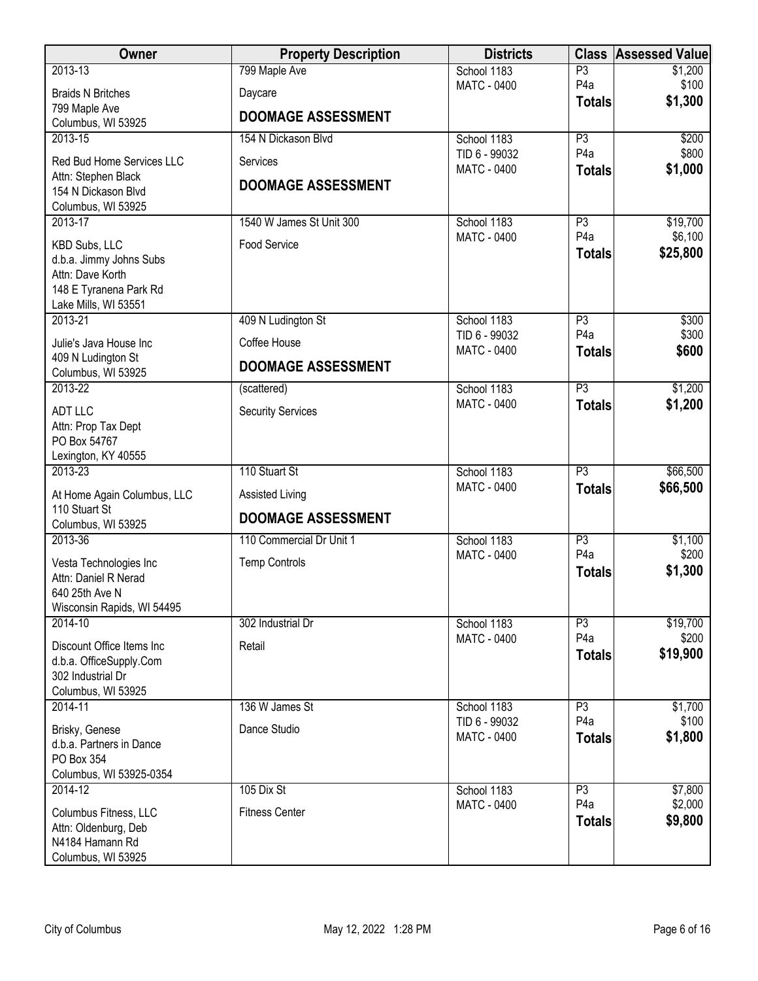| Owner                                                | <b>Property Description</b> | <b>Districts</b>                  | <b>Class</b>                      | <b>Assessed Value</b> |
|------------------------------------------------------|-----------------------------|-----------------------------------|-----------------------------------|-----------------------|
| 2013-13                                              | 799 Maple Ave               | School 1183                       | $\overline{P3}$                   | \$1,200               |
| <b>Braids N Britches</b>                             | Daycare                     | <b>MATC - 0400</b>                | P <sub>4</sub> a<br><b>Totals</b> | \$100<br>\$1,300      |
| 799 Maple Ave                                        | <b>DOOMAGE ASSESSMENT</b>   |                                   |                                   |                       |
| Columbus, WI 53925<br>2013-15                        | 154 N Dickason Blvd         | School 1183                       | P3                                | \$200                 |
| Red Bud Home Services LLC                            | Services                    | TID 6 - 99032                     | P <sub>4</sub> a                  | \$800                 |
| Attn: Stephen Black                                  |                             | MATC - 0400                       | <b>Totals</b>                     | \$1,000               |
| 154 N Dickason Blvd                                  | <b>DOOMAGE ASSESSMENT</b>   |                                   |                                   |                       |
| Columbus, WI 53925                                   |                             |                                   |                                   |                       |
| 2013-17                                              | 1540 W James St Unit 300    | School 1183<br><b>MATC - 0400</b> | P3<br>P <sub>4</sub> a            | \$19,700<br>\$6,100   |
| <b>KBD Subs, LLC</b><br>d.b.a. Jimmy Johns Subs      | <b>Food Service</b>         |                                   | <b>Totals</b>                     | \$25,800              |
| Attn: Dave Korth                                     |                             |                                   |                                   |                       |
| 148 E Tyranena Park Rd                               |                             |                                   |                                   |                       |
| Lake Mills, WI 53551<br>2013-21                      | 409 N Ludington St          | School 1183                       | P3                                | \$300                 |
|                                                      |                             | TID 6 - 99032                     | P <sub>4</sub> a                  | \$300                 |
| Julie's Java House Inc<br>409 N Ludington St         | Coffee House                | <b>MATC - 0400</b>                | <b>Totals</b>                     | \$600                 |
| Columbus, WI 53925                                   | <b>DOOMAGE ASSESSMENT</b>   |                                   |                                   |                       |
| 2013-22                                              | (scattered)                 | School 1183                       | $\overline{P3}$                   | \$1,200               |
| ADT LLC                                              | <b>Security Services</b>    | <b>MATC - 0400</b>                | <b>Totals</b>                     | \$1,200               |
| Attn: Prop Tax Dept                                  |                             |                                   |                                   |                       |
| PO Box 54767<br>Lexington, KY 40555                  |                             |                                   |                                   |                       |
| 2013-23                                              | 110 Stuart St               | School 1183                       | $\overline{P3}$                   | \$66,500              |
| At Home Again Columbus, LLC                          | Assisted Living             | MATC - 0400                       | <b>Totals</b>                     | \$66,500              |
| 110 Stuart St<br>Columbus, WI 53925                  | <b>DOOMAGE ASSESSMENT</b>   |                                   |                                   |                       |
| 2013-36                                              | 110 Commercial Dr Unit 1    | School 1183                       | P3                                | \$1,100               |
| Vesta Technologies Inc                               | <b>Temp Controls</b>        | <b>MATC - 0400</b>                | P <sub>4</sub> a                  | \$200                 |
| Attn: Daniel R Nerad                                 |                             |                                   | <b>Totals</b>                     | \$1,300               |
| 640 25th Ave N                                       |                             |                                   |                                   |                       |
| Wisconsin Rapids, WI 54495<br>2014-10                | 302 Industrial Dr           | School 1183                       | P3                                | \$19,700              |
|                                                      |                             | <b>MATC - 0400</b>                | P <sub>4</sub> a                  | \$200                 |
| Discount Office Items Inc<br>d.b.a. OfficeSupply.Com | Retail                      |                                   | <b>Totals</b>                     | \$19,900              |
| 302 Industrial Dr                                    |                             |                                   |                                   |                       |
| Columbus, WI 53925                                   |                             |                                   |                                   |                       |
| 2014-11                                              | 136 W James St              | School 1183<br>TID 6 - 99032      | P3<br>P <sub>4</sub> a            | \$1,700<br>\$100      |
| Brisky, Genese                                       | Dance Studio                | <b>MATC - 0400</b>                | <b>Totals</b>                     | \$1,800               |
| d.b.a. Partners in Dance<br>PO Box 354               |                             |                                   |                                   |                       |
| Columbus, WI 53925-0354                              |                             |                                   |                                   |                       |
| $2014 - 12$                                          | 105 Dix St                  | School 1183                       | P3                                | \$7,800               |
| Columbus Fitness, LLC                                | <b>Fitness Center</b>       | <b>MATC - 0400</b>                | P <sub>4</sub> a<br><b>Totals</b> | \$2,000<br>\$9,800    |
| Attn: Oldenburg, Deb<br>N4184 Hamann Rd              |                             |                                   |                                   |                       |
| Columbus, WI 53925                                   |                             |                                   |                                   |                       |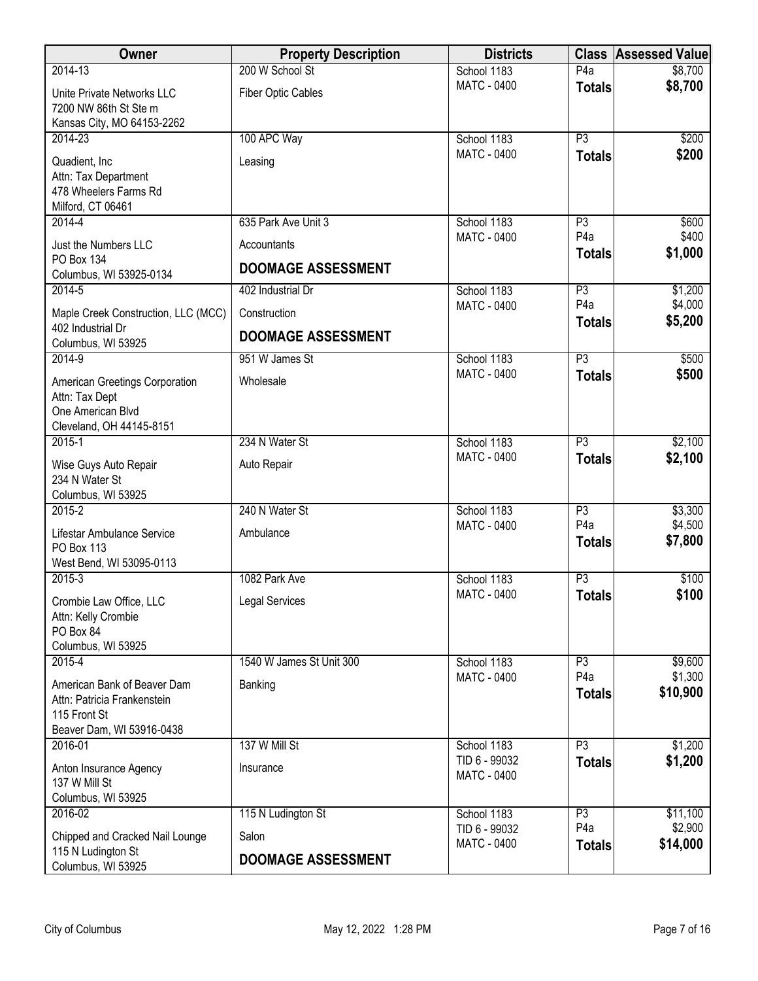| Owner                                     | <b>Property Description</b> | <b>Districts</b>                    |                        | <b>Class Assessed Value</b> |
|-------------------------------------------|-----------------------------|-------------------------------------|------------------------|-----------------------------|
| 2014-13                                   | 200 W School St             | School 1183                         | P4a                    | \$8,700                     |
| Unite Private Networks LLC                | Fiber Optic Cables          | <b>MATC - 0400</b>                  | <b>Totals</b>          | \$8,700                     |
| 7200 NW 86th St Ste m                     |                             |                                     |                        |                             |
| Kansas City, MO 64153-2262<br>2014-23     | 100 APC Way                 | School 1183                         | $\overline{P3}$        | \$200                       |
|                                           |                             | <b>MATC - 0400</b>                  | <b>Totals</b>          | \$200                       |
| Quadient, Inc<br>Attn: Tax Department     | Leasing                     |                                     |                        |                             |
| 478 Wheelers Farms Rd                     |                             |                                     |                        |                             |
| Milford, CT 06461                         |                             |                                     |                        |                             |
| $2014 - 4$                                | 635 Park Ave Unit 3         | School 1183                         | P3<br>P <sub>4</sub> a | \$600                       |
| Just the Numbers LLC                      | Accountants                 | <b>MATC - 0400</b>                  | <b>Totals</b>          | \$400<br>\$1,000            |
| PO Box 134<br>Columbus, WI 53925-0134     | <b>DOOMAGE ASSESSMENT</b>   |                                     |                        |                             |
| $2014 - 5$                                | 402 Industrial Dr           | School 1183                         | P3                     | \$1,200                     |
| Maple Creek Construction, LLC (MCC)       | Construction                | <b>MATC - 0400</b>                  | P <sub>4</sub> a       | \$4,000                     |
| 402 Industrial Dr<br>Columbus, WI 53925   | <b>DOOMAGE ASSESSMENT</b>   |                                     | <b>Totals</b>          | \$5,200                     |
| $2014 - 9$                                | 951 W James St              | School 1183                         | $\overline{P3}$        | \$500                       |
| American Greetings Corporation            | Wholesale                   | <b>MATC - 0400</b>                  | <b>Totals</b>          | \$500                       |
| Attn: Tax Dept                            |                             |                                     |                        |                             |
| One American Blvd                         |                             |                                     |                        |                             |
| Cleveland, OH 44145-8151<br>$2015 - 1$    | 234 N Water St              | School 1183                         | $\overline{P3}$        | \$2,100                     |
|                                           |                             | <b>MATC - 0400</b>                  | <b>Totals</b>          | \$2,100                     |
| Wise Guys Auto Repair<br>234 N Water St   | Auto Repair                 |                                     |                        |                             |
| Columbus, WI 53925                        |                             |                                     |                        |                             |
| $2015 - 2$                                | 240 N Water St              | School 1183                         | P3                     | \$3,300                     |
| Lifestar Ambulance Service                | Ambulance                   | <b>MATC - 0400</b>                  | P <sub>4</sub> a       | \$4,500                     |
| PO Box 113                                |                             |                                     | <b>Totals</b>          | \$7,800                     |
| West Bend, WI 53095-0113                  |                             |                                     |                        |                             |
| $2015 - 3$                                | 1082 Park Ave               | School 1183<br><b>MATC - 0400</b>   | P3<br><b>Totals</b>    | \$100<br>\$100              |
| Crombie Law Office, LLC                   | <b>Legal Services</b>       |                                     |                        |                             |
| Attn: Kelly Crombie<br>PO Box 84          |                             |                                     |                        |                             |
| Columbus, WI 53925                        |                             |                                     |                        |                             |
| $2015 - 4$                                | 1540 W James St Unit 300    | School 1183                         | P3                     | \$9,600                     |
| American Bank of Beaver Dam               | Banking                     | <b>MATC - 0400</b>                  | P <sub>4</sub> a       | \$1,300<br>\$10,900         |
| Attn: Patricia Frankenstein               |                             |                                     | <b>Totals</b>          |                             |
| 115 Front St<br>Beaver Dam, WI 53916-0438 |                             |                                     |                        |                             |
| 2016-01                                   | 137 W Mill St               | School 1183                         | P3                     | \$1,200                     |
| Anton Insurance Agency                    | Insurance                   | TID 6 - 99032                       | <b>Totals</b>          | \$1,200                     |
| 137 W Mill St                             |                             | <b>MATC - 0400</b>                  |                        |                             |
| Columbus, WI 53925                        |                             |                                     |                        |                             |
| 2016-02                                   | 115 N Ludington St          | School 1183                         | P3<br>P <sub>4</sub> a | \$11,100                    |
| Chipped and Cracked Nail Lounge           | Salon                       | TID 6 - 99032<br><b>MATC - 0400</b> | <b>Totals</b>          | \$2,900<br>\$14,000         |
| 115 N Ludington St<br>Columbus, WI 53925  | <b>DOOMAGE ASSESSMENT</b>   |                                     |                        |                             |
|                                           |                             |                                     |                        |                             |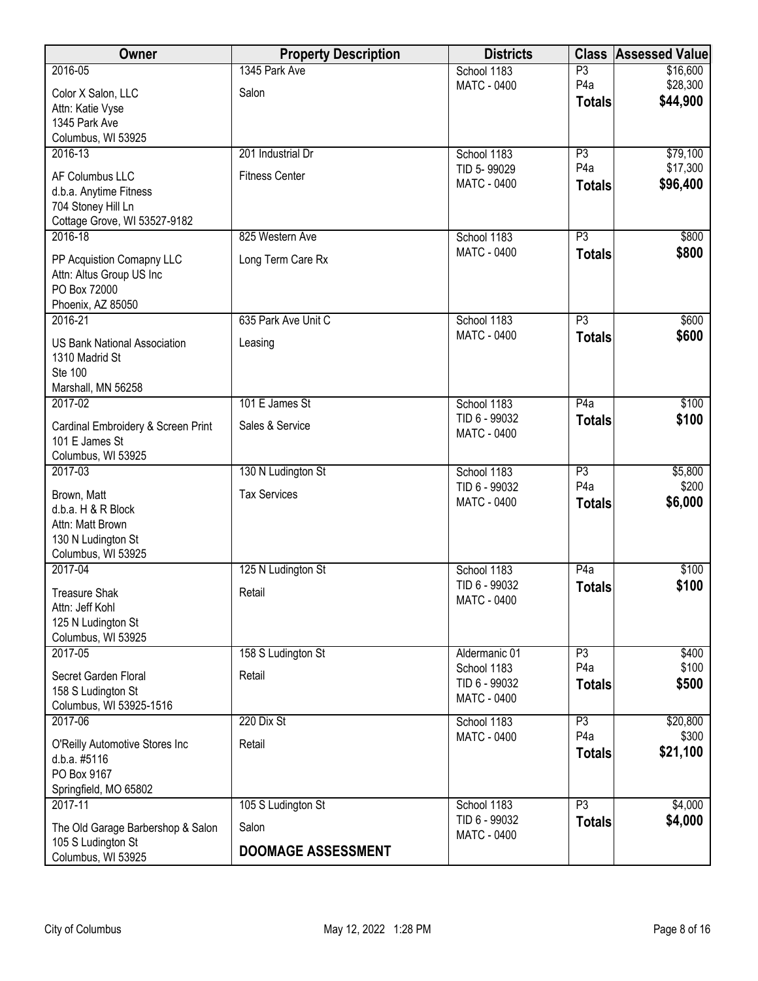| Owner                                      | <b>Property Description</b> | <b>Districts</b>                    | <b>Class</b>           | <b>Assessed Value</b> |
|--------------------------------------------|-----------------------------|-------------------------------------|------------------------|-----------------------|
| 2016-05                                    | 1345 Park Ave               | School 1183                         | P3                     | \$16,600              |
| Color X Salon, LLC                         | Salon                       | <b>MATC - 0400</b>                  | P <sub>4</sub> a       | \$28,300<br>\$44,900  |
| Attn: Katie Vyse                           |                             |                                     | <b>Totals</b>          |                       |
| 1345 Park Ave<br>Columbus, WI 53925        |                             |                                     |                        |                       |
| 2016-13                                    | 201 Industrial Dr           | School 1183                         | P3                     | \$79,100              |
|                                            |                             | TID 5-99029                         | P <sub>4</sub> a       | \$17,300              |
| AF Columbus LLC<br>d.b.a. Anytime Fitness  | <b>Fitness Center</b>       | <b>MATC - 0400</b>                  | <b>Totals</b>          | \$96,400              |
| 704 Stoney Hill Ln                         |                             |                                     |                        |                       |
| Cottage Grove, WI 53527-9182               |                             |                                     |                        |                       |
| 2016-18                                    | 825 Western Ave             | School 1183                         | P3                     | \$800                 |
| PP Acquistion Comapny LLC                  | Long Term Care Rx           | <b>MATC - 0400</b>                  | <b>Totals</b>          | \$800                 |
| Attn: Altus Group US Inc                   |                             |                                     |                        |                       |
| PO Box 72000<br>Phoenix, AZ 85050          |                             |                                     |                        |                       |
| 2016-21                                    | 635 Park Ave Unit C         | School 1183                         | P3                     | \$600                 |
| <b>US Bank National Association</b>        |                             | <b>MATC - 0400</b>                  | <b>Totals</b>          | \$600                 |
| 1310 Madrid St                             | Leasing                     |                                     |                        |                       |
| Ste 100                                    |                             |                                     |                        |                       |
| Marshall, MN 56258                         |                             |                                     |                        |                       |
| 2017-02                                    | 101 E James St              | School 1183                         | P4a                    | \$100                 |
| Cardinal Embroidery & Screen Print         | Sales & Service             | TID 6 - 99032<br><b>MATC - 0400</b> | <b>Totals</b>          | \$100                 |
| 101 E James St                             |                             |                                     |                        |                       |
| Columbus, WI 53925                         |                             |                                     |                        |                       |
| 2017-03                                    | 130 N Ludington St          | School 1183<br>TID 6 - 99032        | P3<br>P <sub>4</sub> a | \$5,800<br>\$200      |
| Brown, Matt                                | <b>Tax Services</b>         | <b>MATC - 0400</b>                  | <b>Totals</b>          | \$6,000               |
| d.b.a. H & R Block<br>Attn: Matt Brown     |                             |                                     |                        |                       |
| 130 N Ludington St                         |                             |                                     |                        |                       |
| Columbus, WI 53925                         |                             |                                     |                        |                       |
| 2017-04                                    | 125 N Ludington St          | School 1183                         | P4a                    | \$100                 |
| <b>Treasure Shak</b>                       | Retail                      | TID 6 - 99032<br>MATC - 0400        | <b>Totals</b>          | \$100                 |
| Attn: Jeff Kohl                            |                             |                                     |                        |                       |
| 125 N Ludington St                         |                             |                                     |                        |                       |
| Columbus, WI 53925<br>2017-05              | 158 S Ludington St          | Aldermanic 01                       | P3                     | \$400                 |
|                                            |                             | School 1183                         | P <sub>4</sub> a       | \$100                 |
| Secret Garden Floral<br>158 S Ludington St | Retail                      | TID 6 - 99032                       | <b>Totals</b>          | \$500                 |
| Columbus, WI 53925-1516                    |                             | MATC - 0400                         |                        |                       |
| 2017-06                                    | 220 Dix St                  | School 1183                         | P3                     | \$20,800              |
| O'Reilly Automotive Stores Inc             | Retail                      | <b>MATC - 0400</b>                  | P <sub>4</sub> a       | \$300                 |
| d.b.a. #5116                               |                             |                                     | <b>Totals</b>          | \$21,100              |
| PO Box 9167                                |                             |                                     |                        |                       |
| Springfield, MO 65802                      |                             |                                     |                        |                       |
| 2017-11                                    | 105 S Ludington St          | School 1183<br>TID 6 - 99032        | $\overline{P3}$        | \$4,000               |
| The Old Garage Barbershop & Salon          | Salon                       | <b>MATC - 0400</b>                  | <b>Totals</b>          | \$4,000               |
| 105 S Ludington St                         | <b>DOOMAGE ASSESSMENT</b>   |                                     |                        |                       |
| Columbus, WI 53925                         |                             |                                     |                        |                       |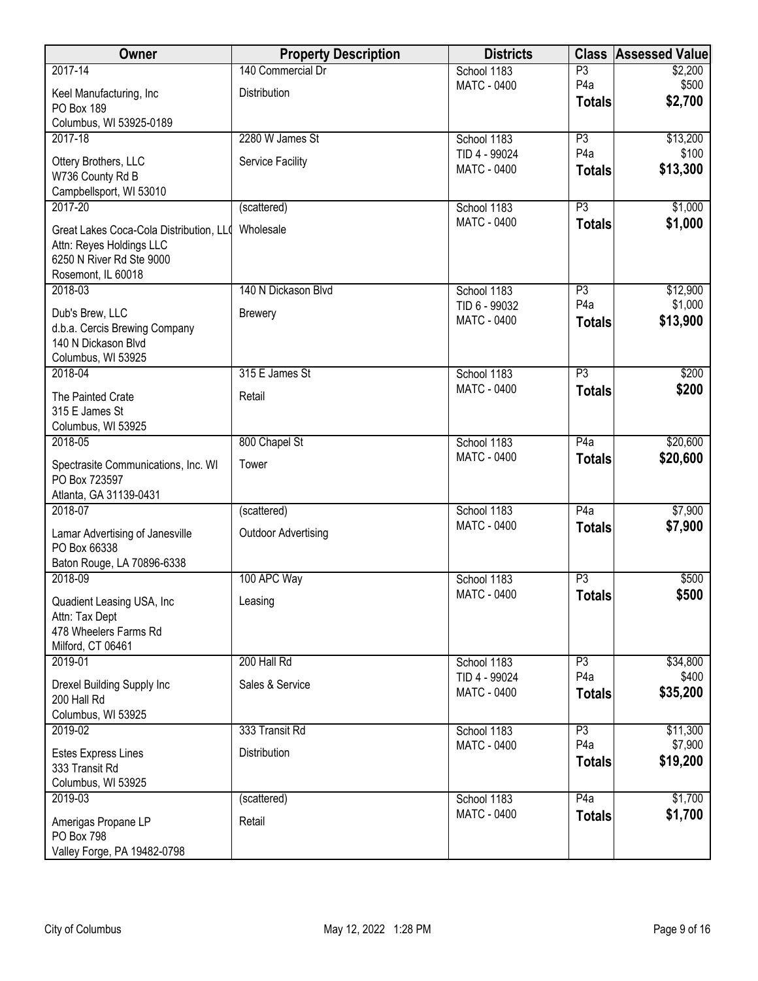| Owner                                                | <b>Property Description</b> | <b>Districts</b>           | <b>Class</b>                      | <b>Assessed Value</b> |
|------------------------------------------------------|-----------------------------|----------------------------|-----------------------------------|-----------------------|
| 2017-14                                              | 140 Commercial Dr           | School 1183                | P3                                | \$2,200               |
| Keel Manufacturing, Inc                              | Distribution                | <b>MATC - 0400</b>         | P <sub>4</sub> a<br><b>Totals</b> | \$500<br>\$2,700      |
| PO Box 189<br>Columbus, WI 53925-0189                |                             |                            |                                   |                       |
| 2017-18                                              | 2280 W James St             | School 1183                | P3                                | \$13,200              |
| Ottery Brothers, LLC                                 | Service Facility            | TID 4 - 99024              | P <sub>4</sub> a                  | \$100                 |
| W736 County Rd B                                     |                             | <b>MATC - 0400</b>         | <b>Totals</b>                     | \$13,300              |
| Campbellsport, WI 53010                              |                             |                            |                                   |                       |
| 2017-20                                              | (scattered)                 | School 1183                | $\overline{P3}$                   | \$1,000               |
| Great Lakes Coca-Cola Distribution, LLO              | Wholesale                   | <b>MATC - 0400</b>         | <b>Totals</b>                     | \$1,000               |
| Attn: Reyes Holdings LLC<br>6250 N River Rd Ste 9000 |                             |                            |                                   |                       |
| Rosemont, IL 60018                                   |                             |                            |                                   |                       |
| 2018-03                                              | 140 N Dickason Blvd         | School 1183                | P3                                | \$12,900              |
| Dub's Brew, LLC                                      | <b>Brewery</b>              | TID 6 - 99032              | P <sub>4</sub> a                  | \$1,000               |
| d.b.a. Cercis Brewing Company                        |                             | <b>MATC - 0400</b>         | <b>Totals</b>                     | \$13,900              |
| 140 N Dickason Blvd                                  |                             |                            |                                   |                       |
| Columbus, WI 53925<br>2018-04                        | 315 E James St              | School 1183                | $\overline{P3}$                   | \$200                 |
| The Painted Crate                                    | Retail                      | <b>MATC - 0400</b>         | <b>Totals</b>                     | \$200                 |
| 315 E James St                                       |                             |                            |                                   |                       |
| Columbus, WI 53925                                   |                             |                            |                                   |                       |
| 2018-05                                              | 800 Chapel St               | School 1183                | P4a                               | \$20,600              |
| Spectrasite Communications, Inc. WI                  | Tower                       | <b>MATC - 0400</b>         | <b>Totals</b>                     | \$20,600              |
| PO Box 723597                                        |                             |                            |                                   |                       |
| Atlanta, GA 31139-0431<br>2018-07                    | (scattered)                 | School 1183                | P4a                               | \$7,900               |
|                                                      | <b>Outdoor Advertising</b>  | <b>MATC - 0400</b>         | <b>Totals</b>                     | \$7,900               |
| Lamar Advertising of Janesville<br>PO Box 66338      |                             |                            |                                   |                       |
| Baton Rouge, LA 70896-6338                           |                             |                            |                                   |                       |
| 2018-09                                              | 100 APC Way                 | School 1183                | P3                                | \$500                 |
| Quadient Leasing USA, Inc                            | Leasing                     | <b>MATC - 0400</b>         | <b>Totals</b>                     | \$500                 |
| Attn: Tax Dept<br>478 Wheelers Farms Rd              |                             |                            |                                   |                       |
| Milford, CT 06461                                    |                             |                            |                                   |                       |
| 2019-01                                              | 200 Hall Rd                 | School 1183                | P3                                | \$34,800              |
| Drexel Building Supply Inc                           | Sales & Service             | TID 4 - 99024              | P <sub>4</sub> a                  | \$400                 |
| 200 Hall Rd                                          |                             | <b>MATC - 0400</b>         | <b>Totals</b>                     | \$35,200              |
| Columbus, WI 53925<br>2019-02                        |                             |                            |                                   |                       |
|                                                      | 333 Transit Rd              | School 1183<br>MATC - 0400 | P3<br>P <sub>4</sub> a            | \$11,300<br>\$7,900   |
| <b>Estes Express Lines</b><br>333 Transit Rd         | Distribution                |                            | <b>Totals</b>                     | \$19,200              |
| Columbus, WI 53925                                   |                             |                            |                                   |                       |
| 2019-03                                              | (scattered)                 | School 1183                | P4a                               | \$1,700               |
| Amerigas Propane LP                                  | Retail                      | <b>MATC - 0400</b>         | <b>Totals</b>                     | \$1,700               |
| PO Box 798                                           |                             |                            |                                   |                       |
| Valley Forge, PA 19482-0798                          |                             |                            |                                   |                       |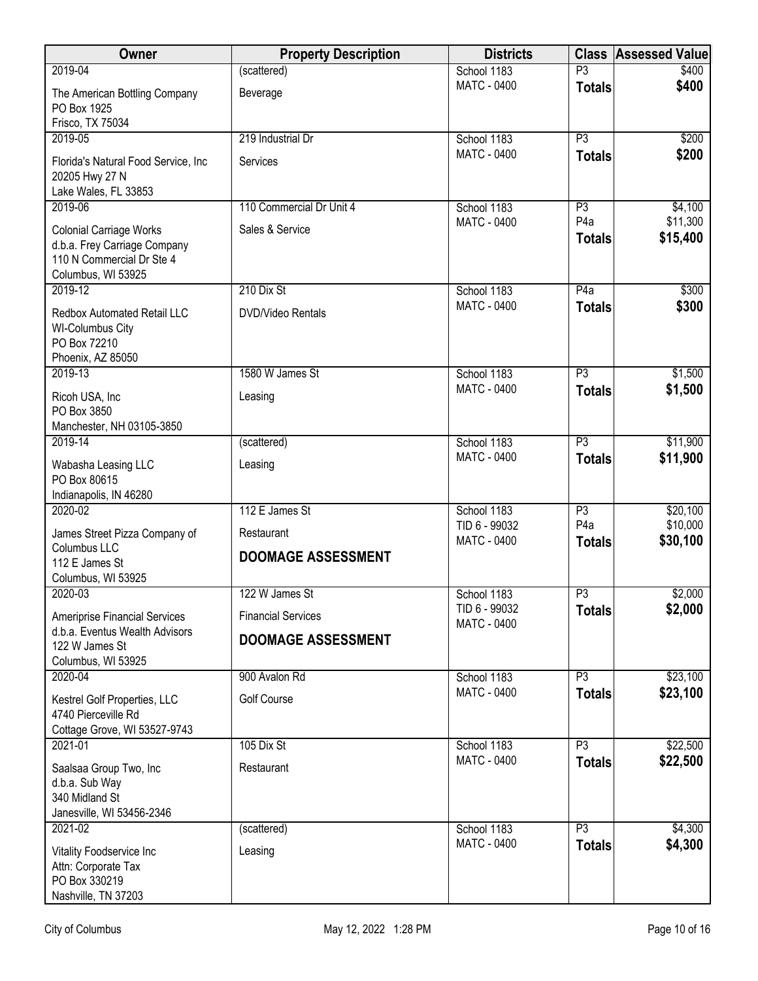| Owner                                                                                                             | <b>Property Description</b> | <b>Districts</b>                    | <b>Class</b>                      | <b>Assessed Value</b> |
|-------------------------------------------------------------------------------------------------------------------|-----------------------------|-------------------------------------|-----------------------------------|-----------------------|
| 2019-04                                                                                                           | (scattered)                 | School 1183                         | P <sub>3</sub>                    | \$400                 |
| The American Bottling Company<br>PO Box 1925<br>Frisco, TX 75034                                                  | Beverage                    | <b>MATC - 0400</b>                  | <b>Totals</b>                     | \$400                 |
| 2019-05                                                                                                           | 219 Industrial Dr           | School 1183                         | $\overline{P3}$                   | \$200                 |
| Florida's Natural Food Service, Inc.<br>20205 Hwy 27 N<br>Lake Wales, FL 33853                                    | Services                    | <b>MATC - 0400</b>                  | <b>Totals</b>                     | \$200                 |
| 2019-06                                                                                                           | 110 Commercial Dr Unit 4    | School 1183                         | P3                                | \$4,100               |
| <b>Colonial Carriage Works</b><br>d.b.a. Frey Carriage Company<br>110 N Commercial Dr Ste 4<br>Columbus, WI 53925 | Sales & Service             | <b>MATC - 0400</b>                  | P <sub>4</sub> a<br><b>Totals</b> | \$11,300<br>\$15,400  |
| 2019-12                                                                                                           | 210 Dix St                  | School 1183                         | P4a                               | \$300                 |
| <b>Redbox Automated Retail LLC</b><br><b>WI-Columbus City</b><br>PO Box 72210<br>Phoenix, AZ 85050                | DVD/Video Rentals           | <b>MATC - 0400</b>                  | <b>Totals</b>                     | \$300                 |
| 2019-13                                                                                                           | 1580 W James St             | School 1183                         | P3                                | \$1,500               |
| Ricoh USA, Inc<br>PO Box 3850<br>Manchester, NH 03105-3850                                                        | Leasing                     | <b>MATC - 0400</b>                  | <b>Totals</b>                     | \$1,500               |
| 2019-14                                                                                                           | (scattered)                 | School 1183                         | $\overline{P3}$                   | \$11,900              |
| Wabasha Leasing LLC<br>PO Box 80615<br>Indianapolis, IN 46280                                                     | Leasing                     | <b>MATC - 0400</b>                  | <b>Totals</b>                     | \$11,900              |
| 2020-02                                                                                                           | 112 E James St              | School 1183                         | P3                                | \$20,100              |
| James Street Pizza Company of                                                                                     | Restaurant                  | TID 6 - 99032<br><b>MATC - 0400</b> | P <sub>4</sub> a                  | \$10,000<br>\$30,100  |
| Columbus LLC<br>112 E James St<br>Columbus, WI 53925                                                              | <b>DOOMAGE ASSESSMENT</b>   |                                     | <b>Totals</b>                     |                       |
| 2020-03                                                                                                           | 122 W James St              | School 1183                         | P3                                | \$2,000               |
| Ameriprise Financial Services                                                                                     | <b>Financial Services</b>   | TID 6 - 99032<br><b>MATC - 0400</b> | <b>Totals</b>                     | \$2,000               |
| d.b.a. Eventus Wealth Advisors                                                                                    | <b>DOOMAGE ASSESSMENT</b>   |                                     |                                   |                       |
| 122 W James St<br>Columbus, WI 53925                                                                              |                             |                                     |                                   |                       |
| 2020-04                                                                                                           | 900 Avalon Rd               | School 1183                         | P3                                | \$23,100              |
| Kestrel Golf Properties, LLC                                                                                      | <b>Golf Course</b>          | <b>MATC - 0400</b>                  | <b>Totals</b>                     | \$23,100              |
| 4740 Pierceville Rd                                                                                               |                             |                                     |                                   |                       |
| Cottage Grove, WI 53527-9743                                                                                      |                             |                                     |                                   |                       |
| 2021-01                                                                                                           | 105 Dix St                  | School 1183<br>MATC - 0400          | P3<br><b>Totals</b>               | \$22,500<br>\$22,500  |
| Saalsaa Group Two, Inc<br>d.b.a. Sub Way<br>340 Midland St<br>Janesville, WI 53456-2346                           | Restaurant                  |                                     |                                   |                       |
| 2021-02                                                                                                           | (scattered)                 | School 1183                         | $\overline{P3}$                   | \$4,300               |
| Vitality Foodservice Inc<br>Attn: Corporate Tax<br>PO Box 330219<br>Nashville, TN 37203                           | Leasing                     | <b>MATC - 0400</b>                  | <b>Totals</b>                     | \$4,300               |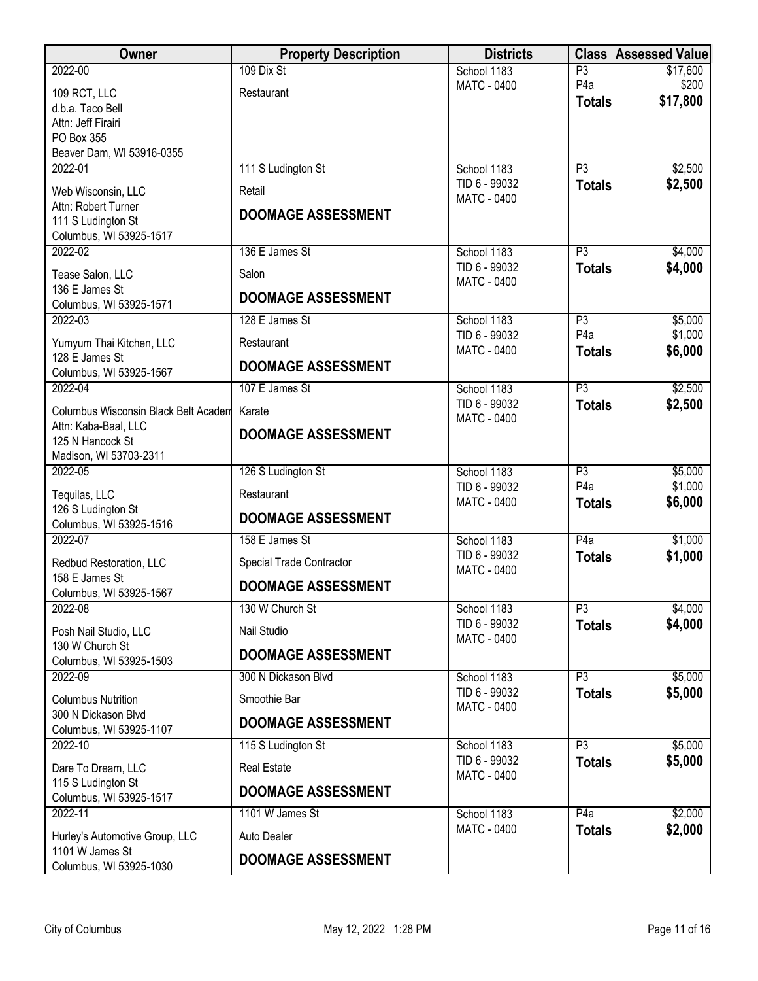| <b>Owner</b>                                  | <b>Property Description</b> | <b>Districts</b>             |                     | <b>Class Assessed Value</b> |
|-----------------------------------------------|-----------------------------|------------------------------|---------------------|-----------------------------|
| 2022-00                                       | 109 Dix St                  | School 1183                  | P3                  | \$17,600                    |
| 109 RCT, LLC                                  | Restaurant                  | MATC - 0400                  | P <sub>4</sub> a    | \$200<br>\$17,800           |
| d.b.a. Taco Bell                              |                             |                              | <b>Totals</b>       |                             |
| Attn: Jeff Firairi                            |                             |                              |                     |                             |
| PO Box 355<br>Beaver Dam, WI 53916-0355       |                             |                              |                     |                             |
| 2022-01                                       | 111 S Ludington St          | School 1183                  | $\overline{P3}$     | \$2,500                     |
| Web Wisconsin, LLC                            | Retail                      | TID 6 - 99032                | <b>Totals</b>       | \$2,500                     |
| Attn: Robert Turner                           |                             | MATC - 0400                  |                     |                             |
| 111 S Ludington St                            | <b>DOOMAGE ASSESSMENT</b>   |                              |                     |                             |
| Columbus, WI 53925-1517                       |                             |                              |                     |                             |
| 2022-02                                       | 136 E James St              | School 1183<br>TID 6 - 99032 | P3                  | \$4,000<br>\$4,000          |
| Tease Salon, LLC                              | Salon                       | MATC - 0400                  | <b>Totals</b>       |                             |
| 136 E James St<br>Columbus, WI 53925-1571     | <b>DOOMAGE ASSESSMENT</b>   |                              |                     |                             |
| 2022-03                                       | 128 E James St              | School 1183                  | P3                  | \$5,000                     |
| Yumyum Thai Kitchen, LLC                      | Restaurant                  | TID 6 - 99032                | P <sub>4</sub> a    | \$1,000                     |
| 128 E James St                                |                             | MATC - 0400                  | <b>Totals</b>       | \$6,000                     |
| Columbus, WI 53925-1567                       | <b>DOOMAGE ASSESSMENT</b>   |                              |                     |                             |
| 2022-04                                       | 107 E James St              | School 1183                  | $\overline{P3}$     | \$2,500                     |
| Columbus Wisconsin Black Belt Academ          | Karate                      | TID 6 - 99032<br>MATC - 0400 | <b>Totals</b>       | \$2,500                     |
| Attn: Kaba-Baal, LLC                          | <b>DOOMAGE ASSESSMENT</b>   |                              |                     |                             |
| 125 N Hancock St<br>Madison, WI 53703-2311    |                             |                              |                     |                             |
| 2022-05                                       | 126 S Ludington St          | School 1183                  | P3                  | \$5,000                     |
| Tequilas, LLC                                 | Restaurant                  | TID 6 - 99032                | P <sub>4</sub> a    | \$1,000                     |
| 126 S Ludington St                            |                             | MATC - 0400                  | <b>Totals</b>       | \$6,000                     |
| Columbus, WI 53925-1516                       | <b>DOOMAGE ASSESSMENT</b>   |                              |                     |                             |
| 2022-07                                       | 158 E James St              | School 1183                  | P4a                 | \$1,000                     |
| Redbud Restoration, LLC                       | Special Trade Contractor    | TID 6 - 99032<br>MATC - 0400 | <b>Totals</b>       | \$1,000                     |
| 158 E James St                                | <b>DOOMAGE ASSESSMENT</b>   |                              |                     |                             |
| Columbus, WI 53925-1567<br>2022-08            | 130 W Church St             | School 1183                  | P3                  | \$4,000                     |
|                                               |                             | TID 6 - 99032                | <b>Totals</b>       | \$4,000                     |
| Posh Nail Studio, LLC<br>130 W Church St      | Nail Studio                 | MATC - 0400                  |                     |                             |
| Columbus, WI 53925-1503                       | <b>DOOMAGE ASSESSMENT</b>   |                              |                     |                             |
| 2022-09                                       | 300 N Dickason Blvd         | School 1183                  | P3                  | \$5,000                     |
| <b>Columbus Nutrition</b>                     | Smoothie Bar                | TID 6 - 99032                | <b>Totals</b>       | \$5,000                     |
| 300 N Dickason Blvd                           | <b>DOOMAGE ASSESSMENT</b>   | MATC - 0400                  |                     |                             |
| Columbus, WI 53925-1107                       |                             |                              |                     |                             |
| 2022-10                                       | 115 S Ludington St          | School 1183<br>TID 6 - 99032 | P3<br><b>Totals</b> | \$5,000<br>\$5,000          |
| Dare To Dream, LLC                            | <b>Real Estate</b>          | MATC - 0400                  |                     |                             |
| 115 S Ludington St<br>Columbus, WI 53925-1517 | <b>DOOMAGE ASSESSMENT</b>   |                              |                     |                             |
| 2022-11                                       | 1101 W James St             | School 1183                  | P4a                 | \$2,000                     |
| Hurley's Automotive Group, LLC                | Auto Dealer                 | MATC - 0400                  | <b>Totals</b>       | \$2,000                     |
| 1101 W James St                               |                             |                              |                     |                             |
| Columbus, WI 53925-1030                       | <b>DOOMAGE ASSESSMENT</b>   |                              |                     |                             |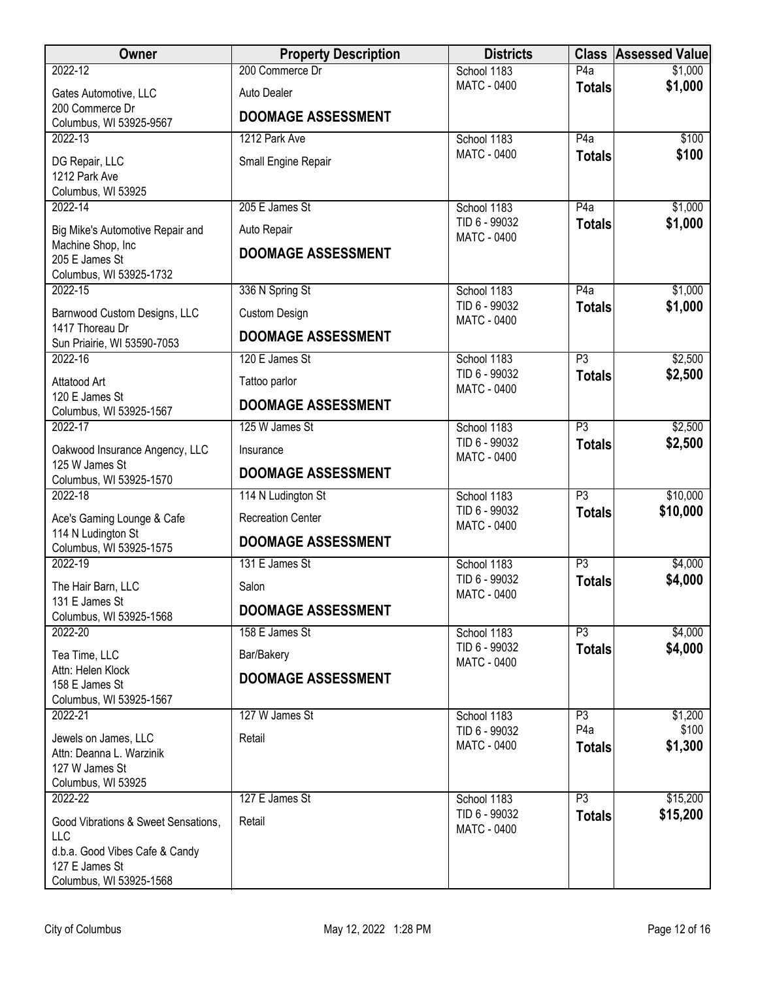| Owner                                                                                                                                       | <b>Property Description</b> | <b>Districts</b>                            |                                   | <b>Class Assessed Value</b> |
|---------------------------------------------------------------------------------------------------------------------------------------------|-----------------------------|---------------------------------------------|-----------------------------------|-----------------------------|
| 2022-12                                                                                                                                     | 200 Commerce Dr             | School 1183                                 | P4a                               | \$1,000                     |
| Gates Automotive, LLC                                                                                                                       | <b>Auto Dealer</b>          | <b>MATC - 0400</b>                          | <b>Totals</b>                     | \$1,000                     |
| 200 Commerce Dr<br>Columbus, WI 53925-9567                                                                                                  | <b>DOOMAGE ASSESSMENT</b>   |                                             |                                   |                             |
| 2022-13                                                                                                                                     | 1212 Park Ave               | School 1183                                 | P4a                               | \$100                       |
| DG Repair, LLC<br>1212 Park Ave<br>Columbus, WI 53925                                                                                       | Small Engine Repair         | <b>MATC - 0400</b>                          | <b>Totals</b>                     | \$100                       |
| 2022-14                                                                                                                                     | 205 E James St              | School 1183                                 | P4a                               | \$1,000                     |
| Big Mike's Automotive Repair and                                                                                                            | Auto Repair                 | TID 6 - 99032<br><b>MATC - 0400</b>         | <b>Totals</b>                     | \$1,000                     |
| Machine Shop, Inc<br>205 E James St<br>Columbus, WI 53925-1732                                                                              | <b>DOOMAGE ASSESSMENT</b>   |                                             |                                   |                             |
| 2022-15                                                                                                                                     | 336 N Spring St             | School 1183                                 | P4a                               | \$1,000                     |
| Barnwood Custom Designs, LLC                                                                                                                | <b>Custom Design</b>        | TID 6 - 99032<br><b>MATC - 0400</b>         | <b>Totals</b>                     | \$1,000                     |
| 1417 Thoreau Dr<br>Sun Priairie, WI 53590-7053                                                                                              | <b>DOOMAGE ASSESSMENT</b>   |                                             |                                   |                             |
| 2022-16                                                                                                                                     | 120 E James St              | School 1183                                 | P3                                | \$2,500                     |
| Attatood Art                                                                                                                                | Tattoo parlor               | TID 6 - 99032<br><b>MATC - 0400</b>         | <b>Totals</b>                     | \$2,500                     |
| 120 E James St<br>Columbus, WI 53925-1567                                                                                                   | <b>DOOMAGE ASSESSMENT</b>   |                                             |                                   |                             |
| 2022-17                                                                                                                                     | 125 W James St              | School 1183                                 | P3                                | \$2,500                     |
| Oakwood Insurance Angency, LLC<br>125 W James St                                                                                            | Insurance                   | TID 6 - 99032<br><b>MATC - 0400</b>         | <b>Totals</b>                     | \$2,500                     |
| Columbus, WI 53925-1570                                                                                                                     | <b>DOOMAGE ASSESSMENT</b>   |                                             |                                   |                             |
| 2022-18                                                                                                                                     | 114 N Ludington St          | School 1183                                 | $\overline{P3}$                   | \$10,000                    |
| Ace's Gaming Lounge & Cafe                                                                                                                  | <b>Recreation Center</b>    | TID 6 - 99032<br><b>MATC - 0400</b>         | <b>Totals</b>                     | \$10,000                    |
| 114 N Ludington St<br>Columbus, WI 53925-1575                                                                                               | <b>DOOMAGE ASSESSMENT</b>   |                                             |                                   |                             |
| 2022-19                                                                                                                                     | 131 E James St              | School 1183                                 | P3                                | \$4,000                     |
| The Hair Barn, LLC                                                                                                                          | Salon                       | TID 6 - 99032<br><b>MATC - 0400</b>         | <b>Totals</b>                     | \$4,000                     |
| 131 E James St<br>Columbus, WI 53925-1568                                                                                                   | <b>DOOMAGE ASSESSMENT</b>   |                                             |                                   |                             |
| 2022-20                                                                                                                                     | 158 E James St              | School 1183                                 | P3                                | \$4,000                     |
| Tea Time, LLC                                                                                                                               | Bar/Bakery                  | TID 6 - 99032<br>MATC - 0400                | <b>Totals</b>                     | \$4,000                     |
| Attn: Helen Klock<br>158 E James St<br>Columbus, WI 53925-1567                                                                              | <b>DOOMAGE ASSESSMENT</b>   |                                             |                                   |                             |
| 2022-21                                                                                                                                     | 127 W James St              | School 1183                                 | P3                                | \$1,200                     |
| Jewels on James, LLC<br>Attn: Deanna L. Warzinik<br>127 W James St                                                                          | Retail                      | TID 6 - 99032<br>MATC - 0400                | P <sub>4</sub> a<br><b>Totals</b> | \$100<br>\$1,300            |
| Columbus, WI 53925                                                                                                                          |                             |                                             |                                   |                             |
| 2022-22<br>Good Vibrations & Sweet Sensations,<br><b>LLC</b><br>d.b.a. Good Vibes Cafe & Candy<br>127 E James St<br>Columbus, WI 53925-1568 | 127 E James St<br>Retail    | School 1183<br>TID 6 - 99032<br>MATC - 0400 | P3<br><b>Totals</b>               | \$15,200<br>\$15,200        |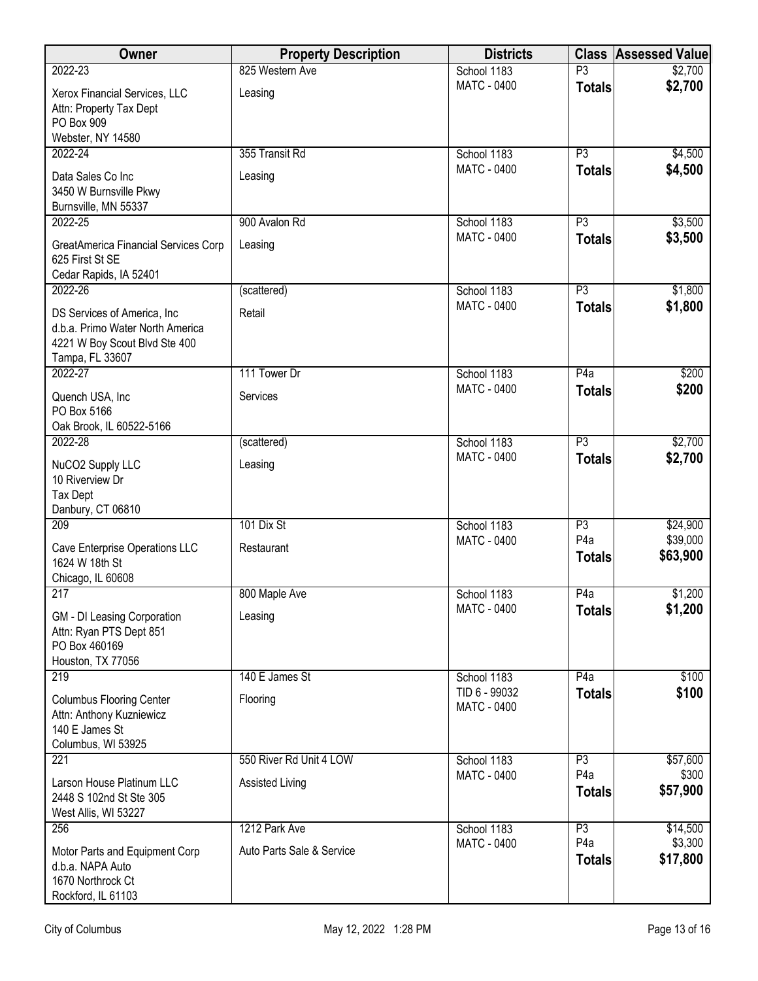| Owner                                                                                                                | <b>Property Description</b> | <b>Districts</b>             |                                   | <b>Class Assessed Value</b> |
|----------------------------------------------------------------------------------------------------------------------|-----------------------------|------------------------------|-----------------------------------|-----------------------------|
| 2022-23                                                                                                              | 825 Western Ave             | School 1183                  | P <sub>3</sub>                    | \$2,700                     |
| Xerox Financial Services, LLC<br>Attn: Property Tax Dept<br>PO Box 909<br>Webster, NY 14580                          | Leasing                     | MATC - 0400                  | <b>Totals</b>                     | \$2,700                     |
| 2022-24                                                                                                              | 355 Transit Rd              | School 1183                  | $\overline{P3}$                   | \$4,500                     |
| Data Sales Co Inc<br>3450 W Burnsville Pkwy<br>Burnsville, MN 55337                                                  | Leasing                     | MATC - 0400                  | <b>Totals</b>                     | \$4,500                     |
| 2022-25                                                                                                              | 900 Avalon Rd               | School 1183                  | $\overline{P3}$                   | \$3,500                     |
| GreatAmerica Financial Services Corp<br>625 First St SE<br>Cedar Rapids, IA 52401                                    | Leasing                     | MATC - 0400                  | <b>Totals</b>                     | \$3,500                     |
| 2022-26                                                                                                              | (scattered)                 | School 1183                  | P3                                | \$1,800                     |
| DS Services of America, Inc.<br>d.b.a. Primo Water North America<br>4221 W Boy Scout Blvd Ste 400<br>Tampa, FL 33607 | Retail                      | <b>MATC - 0400</b>           | <b>Totals</b>                     | \$1,800                     |
| 2022-27                                                                                                              | 111 Tower Dr                | School 1183                  | P4a                               | \$200                       |
| Quench USA, Inc.<br>PO Box 5166<br>Oak Brook, IL 60522-5166                                                          | Services                    | <b>MATC - 0400</b>           | <b>Totals</b>                     | \$200                       |
| 2022-28                                                                                                              | (scattered)                 | School 1183                  | $\overline{P3}$                   | \$2,700                     |
| NuCO2 Supply LLC<br>10 Riverview Dr<br><b>Tax Dept</b><br>Danbury, CT 06810                                          | Leasing                     | <b>MATC - 0400</b>           | <b>Totals</b>                     | \$2,700                     |
| 209                                                                                                                  | 101 Dix St                  | School 1183                  | P3                                | \$24,900                    |
| Cave Enterprise Operations LLC<br>1624 W 18th St<br>Chicago, IL 60608                                                | Restaurant                  | <b>MATC - 0400</b>           | P <sub>4</sub> a<br><b>Totals</b> | \$39,000<br>\$63,900        |
| 217                                                                                                                  | 800 Maple Ave               | School 1183                  | $\overline{P4a}$                  | \$1,200                     |
| GM - DI Leasing Corporation<br>Attn: Ryan PTS Dept 851<br>PO Box 460169<br>Houston, TX 77056                         | Leasing                     | MATC - 0400                  | <b>Totals</b>                     | \$1,200                     |
| 219                                                                                                                  | 140 E James St              | School 1183                  | P4a                               | \$100                       |
| <b>Columbus Flooring Center</b><br>Attn: Anthony Kuzniewicz<br>140 E James St<br>Columbus, WI 53925                  | Flooring                    | TID 6 - 99032<br>MATC - 0400 | <b>Totals</b>                     | \$100                       |
| 221                                                                                                                  | 550 River Rd Unit 4 LOW     | School 1183                  | P3                                | \$57,600                    |
| Larson House Platinum LLC<br>2448 S 102nd St Ste 305<br>West Allis, WI 53227                                         | Assisted Living             | MATC - 0400                  | P <sub>4</sub> a<br><b>Totals</b> | \$300<br>\$57,900           |
| 256                                                                                                                  | 1212 Park Ave               | School 1183                  | P3                                | \$14,500                    |
| Motor Parts and Equipment Corp<br>d.b.a. NAPA Auto<br>1670 Northrock Ct<br>Rockford, IL 61103                        | Auto Parts Sale & Service   | MATC - 0400                  | P <sub>4</sub> a<br><b>Totals</b> | \$3,300<br>\$17,800         |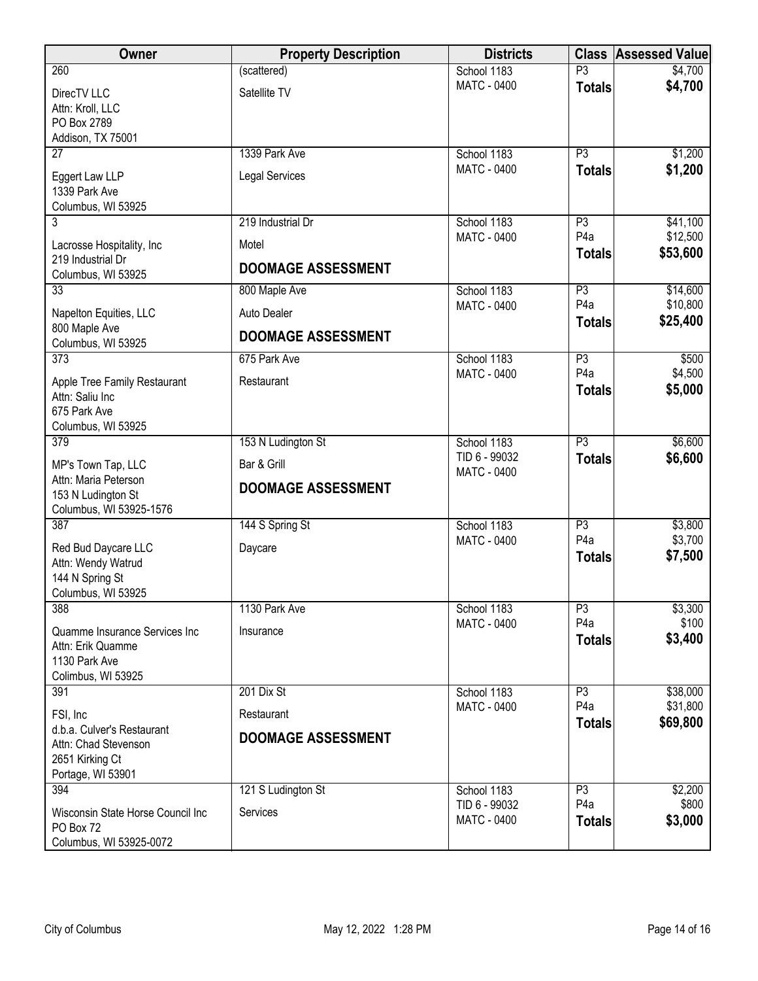| Owner                                      | <b>Property Description</b> | <b>Districts</b>   | <b>Class</b>                       | <b>Assessed Value</b> |
|--------------------------------------------|-----------------------------|--------------------|------------------------------------|-----------------------|
| 260                                        | (scattered)                 | School 1183        | $\overline{P3}$                    | \$4,700               |
| DirecTV LLC                                | Satellite TV                | MATC - 0400        | <b>Totals</b>                      | \$4,700               |
| Attn: Kroll, LLC                           |                             |                    |                                    |                       |
| PO Box 2789<br>Addison, TX 75001           |                             |                    |                                    |                       |
| $\overline{27}$                            | 1339 Park Ave               | School 1183        | $\overline{P3}$                    | \$1,200               |
| Eggert Law LLP                             | <b>Legal Services</b>       | MATC - 0400        | <b>Totals</b>                      | \$1,200               |
| 1339 Park Ave                              |                             |                    |                                    |                       |
| Columbus, WI 53925                         |                             |                    |                                    |                       |
| 3                                          | 219 Industrial Dr           | School 1183        | P3                                 | \$41,100              |
| Lacrosse Hospitality, Inc                  | Motel                       | MATC - 0400        | P <sub>4</sub> a<br><b>Totals</b>  | \$12,500<br>\$53,600  |
| 219 Industrial Dr                          | <b>DOOMAGE ASSESSMENT</b>   |                    |                                    |                       |
| Columbus, WI 53925<br>33                   | 800 Maple Ave               | School 1183        | P3                                 | \$14,600              |
|                                            |                             | <b>MATC - 0400</b> | P <sub>4</sub> a                   | \$10,800              |
| Napelton Equities, LLC<br>800 Maple Ave    | Auto Dealer                 |                    | <b>Totals</b>                      | \$25,400              |
| Columbus, WI 53925                         | <b>DOOMAGE ASSESSMENT</b>   |                    |                                    |                       |
| $\overline{373}$                           | 675 Park Ave                | School 1183        | P3                                 | \$500                 |
| Apple Tree Family Restaurant               | Restaurant                  | MATC - 0400        | P <sub>4</sub> a                   | \$4,500               |
| Attn: Saliu Inc                            |                             |                    | <b>Totals</b>                      | \$5,000               |
| 675 Park Ave                               |                             |                    |                                    |                       |
| Columbus, WI 53925<br>379                  | 153 N Ludington St          | School 1183        | $\overline{P3}$                    | \$6,600               |
|                                            |                             | TID 6 - 99032      | <b>Totals</b>                      | \$6,600               |
| MP's Town Tap, LLC<br>Attn: Maria Peterson | Bar & Grill                 | MATC - 0400        |                                    |                       |
| 153 N Ludington St                         | <b>DOOMAGE ASSESSMENT</b>   |                    |                                    |                       |
| Columbus, WI 53925-1576                    |                             |                    |                                    |                       |
| 387                                        | 144 S Spring St             | School 1183        | P3                                 | \$3,800               |
| Red Bud Daycare LLC                        | Daycare                     | <b>MATC - 0400</b> | P <sub>4</sub> a                   | \$3,700<br>\$7,500    |
| Attn: Wendy Watrud                         |                             |                    | <b>Totals</b>                      |                       |
| 144 N Spring St<br>Columbus, WI 53925      |                             |                    |                                    |                       |
| 388                                        | 1130 Park Ave               | School 1183        | P3                                 | \$3,300               |
| Quamme Insurance Services Inc              | Insurance                   | <b>MATC - 0400</b> | P <sub>4</sub> a                   | \$100                 |
| Attn: Erik Quamme                          |                             |                    | <b>Totals</b>                      | \$3,400               |
| 1130 Park Ave                              |                             |                    |                                    |                       |
| Colimbus, WI 53925                         |                             |                    |                                    |                       |
| 391                                        | 201 Dix St                  | School 1183        | P <sub>3</sub><br>P <sub>4</sub> a | \$38,000              |
| FSI, Inc                                   | Restaurant                  | MATC - 0400        | <b>Totals</b>                      | \$31,800<br>\$69,800  |
| d.b.a. Culver's Restaurant                 | <b>DOOMAGE ASSESSMENT</b>   |                    |                                    |                       |
| Attn: Chad Stevenson<br>2651 Kirking Ct    |                             |                    |                                    |                       |
| Portage, WI 53901                          |                             |                    |                                    |                       |
| 394                                        | 121 S Ludington St          | School 1183        | P3                                 | \$2,200               |
| Wisconsin State Horse Council Inc          | Services                    | TID 6 - 99032      | P <sub>4</sub> a                   | \$800                 |
| PO Box 72                                  |                             | MATC - 0400        | <b>Totals</b>                      | \$3,000               |
| Columbus, WI 53925-0072                    |                             |                    |                                    |                       |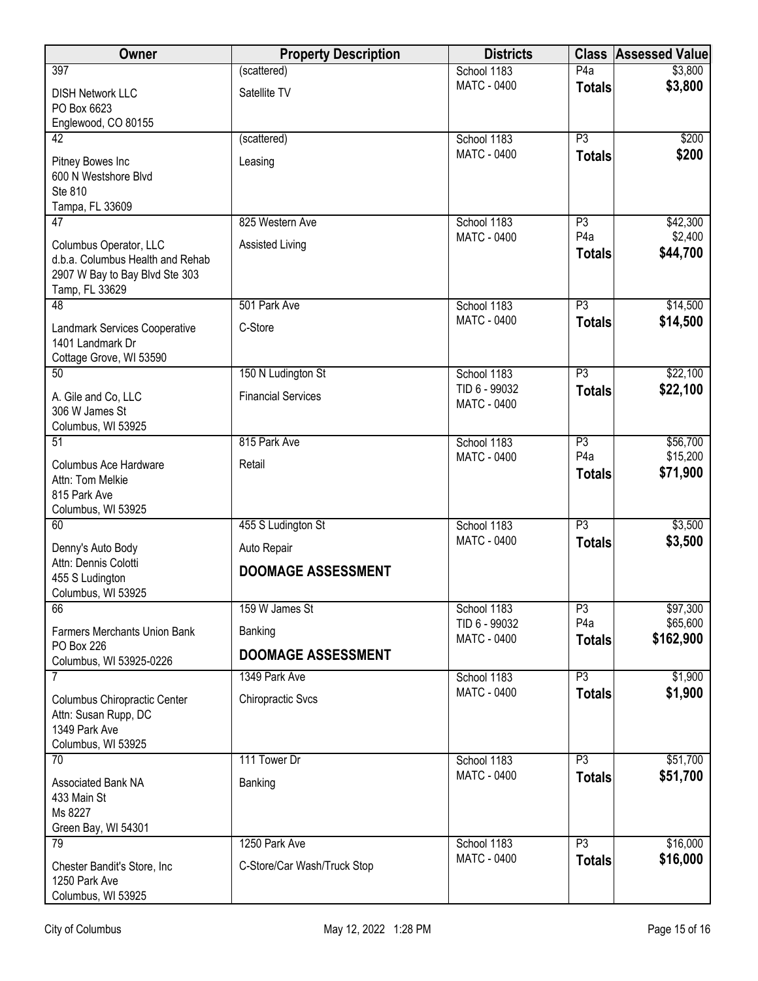| Owner                                                                                                          | <b>Property Description</b> | <b>Districts</b>             | <b>Class</b>                      | <b>Assessed Value</b> |
|----------------------------------------------------------------------------------------------------------------|-----------------------------|------------------------------|-----------------------------------|-----------------------|
| 397                                                                                                            | (scattered)                 | School 1183                  | P4a                               | \$3,800               |
| <b>DISH Network LLC</b><br>PO Box 6623<br>Englewood, CO 80155                                                  | Satellite TV                | MATC - 0400                  | <b>Totals</b>                     | \$3,800               |
| 42                                                                                                             | (scattered)                 | School 1183                  | $\overline{P3}$                   | \$200                 |
| Pitney Bowes Inc<br>600 N Westshore Blvd<br>Ste 810<br>Tampa, FL 33609                                         | Leasing                     | <b>MATC - 0400</b>           | <b>Totals</b>                     | \$200                 |
| 47                                                                                                             | 825 Western Ave             | School 1183                  | P <sub>3</sub>                    | \$42,300              |
| Columbus Operator, LLC<br>d.b.a. Columbus Health and Rehab<br>2907 W Bay to Bay Blvd Ste 303<br>Tamp, FL 33629 | Assisted Living             | <b>MATC - 0400</b>           | P <sub>4</sub> a<br><b>Totals</b> | \$2,400<br>\$44,700   |
| 48                                                                                                             | 501 Park Ave                | School 1183                  | P3                                | \$14,500              |
| <b>Landmark Services Cooperative</b><br>1401 Landmark Dr<br>Cottage Grove, WI 53590                            | C-Store                     | <b>MATC - 0400</b>           | <b>Totals</b>                     | \$14,500              |
| 50                                                                                                             | 150 N Ludington St          | School 1183                  | P3                                | \$22,100              |
| A. Gile and Co, LLC<br>306 W James St<br>Columbus, WI 53925                                                    | <b>Financial Services</b>   | TID 6 - 99032<br>MATC - 0400 | <b>Totals</b>                     | \$22,100              |
| $\overline{51}$                                                                                                | 815 Park Ave                | School 1183                  | P3                                | \$56,700              |
| Columbus Ace Hardware<br>Attn: Tom Melkie<br>815 Park Ave<br>Columbus, WI 53925                                | Retail                      | MATC - 0400                  | P <sub>4</sub> a<br><b>Totals</b> | \$15,200<br>\$71,900  |
| 60                                                                                                             | 455 S Ludington St          | School 1183                  | $\overline{P3}$                   | \$3,500               |
| Denny's Auto Body                                                                                              | Auto Repair                 | <b>MATC - 0400</b>           | <b>Totals</b>                     | \$3,500               |
| Attn: Dennis Colotti<br>455 S Ludington<br>Columbus, WI 53925                                                  | <b>DOOMAGE ASSESSMENT</b>   |                              |                                   |                       |
| 66                                                                                                             | 159 W James St              | School 1183                  | P3                                | \$97,300              |
| <b>Farmers Merchants Union Bank</b>                                                                            | Banking                     | TID 6 - 99032<br>MATC - 0400 | P <sub>4</sub> a                  | \$65,600<br>\$162,900 |
| PO Box 226<br>Columbus, WI 53925-0226                                                                          | <b>DOOMAGE ASSESSMENT</b>   |                              | <b>Totals</b>                     |                       |
| $\overline{7}$                                                                                                 | 1349 Park Ave               | School 1183                  | P3                                | \$1,900               |
| Columbus Chiropractic Center<br>Attn: Susan Rupp, DC<br>1349 Park Ave<br>Columbus, WI 53925                    | <b>Chiropractic Svcs</b>    | MATC - 0400                  | <b>Totals</b>                     | \$1,900               |
| 70                                                                                                             | 111 Tower Dr                | School 1183                  | P3                                | \$51,700              |
| Associated Bank NA<br>433 Main St<br>Ms 8227<br>Green Bay, WI 54301                                            | Banking                     | MATC - 0400                  | <b>Totals</b>                     | \$51,700              |
| 79                                                                                                             | 1250 Park Ave               | School 1183                  | P3                                | \$16,000              |
| Chester Bandit's Store, Inc<br>1250 Park Ave<br>Columbus, WI 53925                                             | C-Store/Car Wash/Truck Stop | <b>MATC - 0400</b>           | <b>Totals</b>                     | \$16,000              |